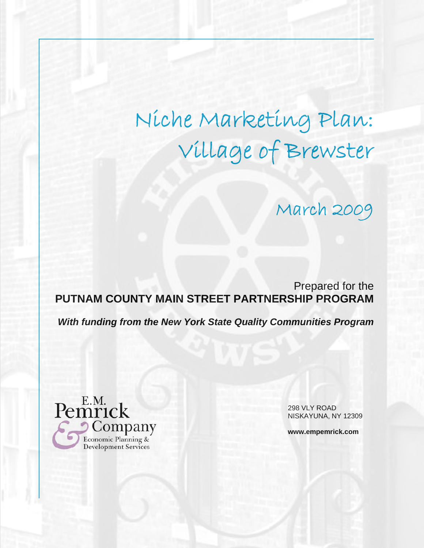# Niche Marketing Plan: Village of Brewster

# March 2009

Prepared for the **PUTNAM COUNTY MAIN STREET PARTNERSHIP PROGRAM**

*With funding from the New York State Quality Communities Program* 



298 VLY ROAD NISKAYUNA, NY 12309

**www.empemrick.com**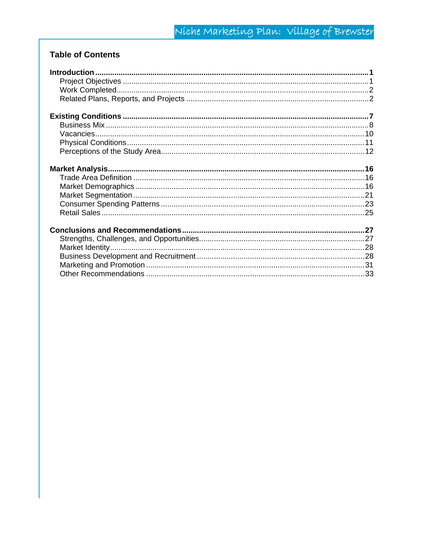# **Table of Contents**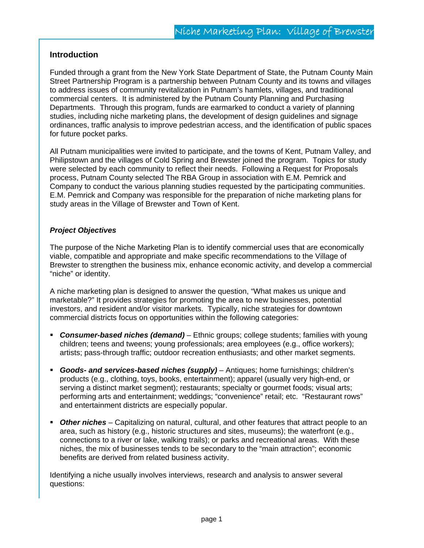#### **Introduction**

Funded through a grant from the New York State Department of State, the Putnam County Main Street Partnership Program is a partnership between Putnam County and its towns and villages to address issues of community revitalization in Putnam's hamlets, villages, and traditional commercial centers. It is administered by the Putnam County Planning and Purchasing Departments. Through this program, funds are earmarked to conduct a variety of planning studies, including niche marketing plans, the development of design guidelines and signage ordinances, traffic analysis to improve pedestrian access, and the identification of public spaces for future pocket parks.

All Putnam municipalities were invited to participate, and the towns of Kent, Putnam Valley, and Philipstown and the villages of Cold Spring and Brewster joined the program. Topics for study were selected by each community to reflect their needs. Following a Request for Proposals process, Putnam County selected The RBA Group in association with E.M. Pemrick and Company to conduct the various planning studies requested by the participating communities. E.M. Pemrick and Company was responsible for the preparation of niche marketing plans for study areas in the Village of Brewster and Town of Kent.

#### *Project Objectives*

The purpose of the Niche Marketing Plan is to identify commercial uses that are economically viable, compatible and appropriate and make specific recommendations to the Village of Brewster to strengthen the business mix, enhance economic activity, and develop a commercial "niche" or identity.

A niche marketing plan is designed to answer the question, "What makes us unique and marketable?" It provides strategies for promoting the area to new businesses, potential investors, and resident and/or visitor markets. Typically, niche strategies for downtown commercial districts focus on opportunities within the following categories:

- *Consumer-based niches (demand)* Ethnic groups; college students; families with young children; teens and tweens; young professionals; area employees (e.g., office workers); artists; pass-through traffic; outdoor recreation enthusiasts; and other market segments.
- *Goods- and services-based niches (supply)* Antiques; home furnishings; children's products (e.g., clothing, toys, books, entertainment); apparel (usually very high-end, or serving a distinct market segment); restaurants; specialty or gourmet foods; visual arts; performing arts and entertainment; weddings; "convenience" retail; etc. "Restaurant rows" and entertainment districts are especially popular.
- *Other niches* Capitalizing on natural, cultural, and other features that attract people to an area, such as history (e.g., historic structures and sites, museums); the waterfront (e.g., connections to a river or lake, walking trails); or parks and recreational areas. With these niches, the mix of businesses tends to be secondary to the "main attraction"; economic benefits are derived from related business activity.

Identifying a niche usually involves interviews, research and analysis to answer several questions: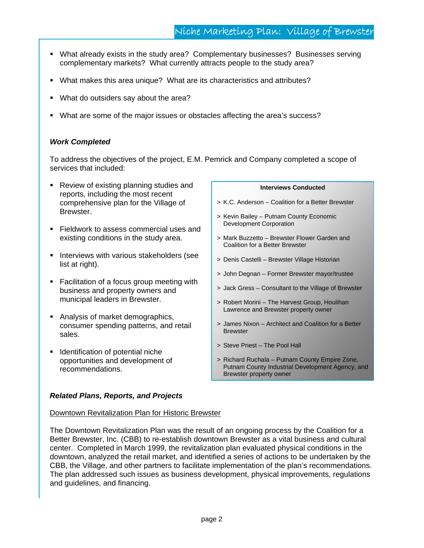- What already exists in the study area? Complementary businesses? Businesses serving complementary markets? What currently attracts people to the study area?
- What makes this area unique? What are its characteristics and attributes?
- What do outsiders say about the area?
- What are some of the major issues or obstacles affecting the area's success?

#### *Work Completed*

To address the objectives of the project, E.M. Pemrick and Company completed a scope of services that included:

- **Review of existing planning studies and** reports, including the most recent comprehensive plan for the Village of Brewster.
- **Fieldwork to assess commercial uses and** existing conditions in the study area.
- **Interviews with various stakeholders (see** list at right).
- **Facilitation of a focus group meeting with** business and property owners and municipal leaders in Brewster.
- Analysis of market demographics, consumer spending patterns, and retail sales.
- **IDENT** Identification of potential niche opportunities and development of recommendations.

# **Interviews Conducted**

- > K.C. Anderson Coalition for a Better Brewster
- > Kevin Bailey Putnam County Economic Development Corporation
- > Mark Buzzetto Brewster Flower Garden and Coalition for a Better Brewster
- > Denis Castelli Brewster Village Historian
- > John Degnan Former Brewster mayor/trustee
- > Jack Gress Consultant to the Village of Brewster
- > Robert Morini The Harvest Group, Houlihan Lawrence and Brewster property owner
- > James Nixon Architect and Coalition for a Better **Brewster**
- > Steve Priest The Pool Hall
- > Richard Ruchala Putnam County Empire Zone, Putnam County Industrial Development Agency, and Brewster property owner

#### *Related Plans, Reports, and Projects*

#### Downtown Revitalization Plan for Historic Brewster

The Downtown Revitalization Plan was the result of an ongoing process by the Coalition for a Better Brewster, Inc. (CBB) to re-establish downtown Brewster as a vital business and cultural center. Completed in March 1999, the revitalization plan evaluated physical conditions in the downtown, analyzed the retail market, and identified a series of actions to be undertaken by the CBB, the Village, and other partners to facilitate implementation of the plan's recommendations. The plan addressed such issues as business development, physical improvements, regulations and guidelines, and financing.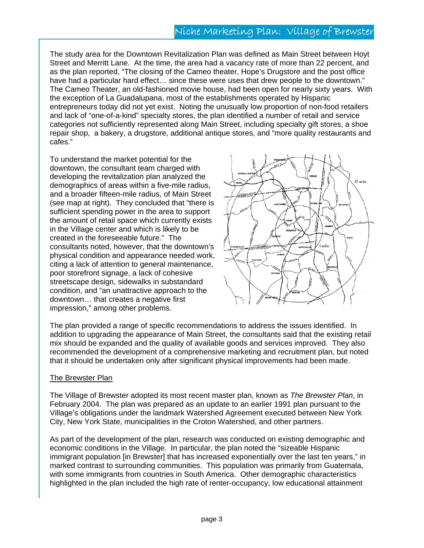# Niche Marketing Plan: Village of Brewster

The study area for the Downtown Revitalization Plan was defined as Main Street between Hoyt Street and Merritt Lane. At the time, the area had a vacancy rate of more than 22 percent, and as the plan reported, "The closing of the Cameo theater, Hope's Drugstore and the post office have had a particular hard effect… since these were uses that drew people to the downtown." The Cameo Theater, an old-fashioned movie house, had been open for nearly sixty years. With the exception of La Guadalupana, most of the establishments operated by Hispanic entrepreneurs today did not yet exist. Noting the unusually low proportion of non-food retailers and lack of "one-of-a-kind" specialty stores, the plan identified a number of retail and service categories not sufficiently represented along Main Street, including specialty gift stores, a shoe repair shop, a bakery, a drugstore, additional antique stores, and "more quality restaurants and cafes."

To understand the market potential for the downtown, the consultant team charged with developing the revitalization plan analyzed the demographics of areas within a five-mile radius, and a broader fifteen-mile radius, of Main Street (see map at right). They concluded that "there is sufficient spending power in the area to support the amount of retail space which currently exists in the Village center and which is likely to be created in the foreseeable future." The consultants noted, however, that the downtown's physical condition and appearance needed work, citing a lack of attention to general maintenance, poor storefront signage, a lack of cohesive streetscape design, sidewalks in substandard condition, and "an unattractive approach to the downtown… that creates a negative first impression," among other problems.



The plan provided a range of specific recommendations to address the issues identified. In addition to upgrading the appearance of Main Street, the consultants said that the existing retail mix should be expanded and the quality of available goods and services improved. They also recommended the development of a comprehensive marketing and recruitment plan, but noted that it should be undertaken only after significant physical improvements had been made.

#### The Brewster Plan

The Village of Brewster adopted its most recent master plan, known as *The Brewster Plan*, in February 2004. The plan was prepared as an update to an earlier 1991 plan pursuant to the Village's obligations under the landmark Watershed Agreement executed between New York City, New York State, municipalities in the Croton Watershed, and other partners.

As part of the development of the plan, research was conducted on existing demographic and economic conditions in the Village. In particular, the plan noted the "sizeable Hispanic immigrant population [in Brewster] that has increased exponentially over the last ten years," in marked contrast to surrounding communities. This population was primarily from Guatemala, with some immigrants from countries in South America. Other demographic characteristics highlighted in the plan included the high rate of renter-occupancy, low educational attainment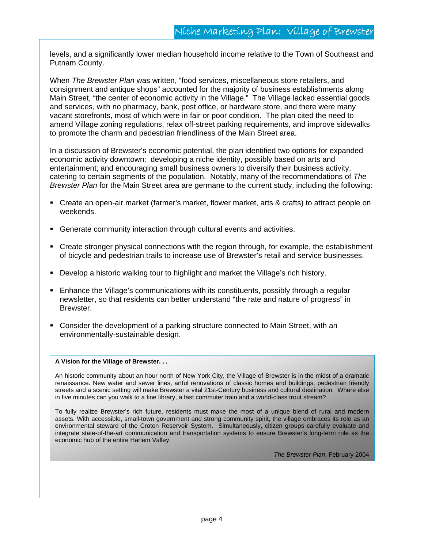levels, and a significantly lower median household income relative to the Town of Southeast and Putnam County.

When *The Brewster Plan* was written, "food services, miscellaneous store retailers, and consignment and antique shops" accounted for the majority of business establishments along Main Street, "the center of economic activity in the Village." The Village lacked essential goods and services, with no pharmacy, bank, post office, or hardware store, and there were many vacant storefronts, most of which were in fair or poor condition. The plan cited the need to amend Village zoning regulations, relax off-street parking requirements, and improve sidewalks to promote the charm and pedestrian friendliness of the Main Street area.

In a discussion of Brewster's economic potential, the plan identified two options for expanded economic activity downtown: developing a niche identity, possibly based on arts and entertainment; and encouraging small business owners to diversify their business activity, catering to certain segments of the population. Notably, many of the recommendations of *The Brewster Plan* for the Main Street area are germane to the current study, including the following:

- Create an open-air market (farmer's market, flower market, arts & crafts) to attract people on weekends.
- Generate community interaction through cultural events and activities.
- **Create stronger physical connections with the region through, for example, the establishment** of bicycle and pedestrian trails to increase use of Brewster's retail and service businesses.
- Develop a historic walking tour to highlight and market the Village's rich history.
- Enhance the Village's communications with its constituents, possibly through a regular newsletter, so that residents can better understand "the rate and nature of progress" in Brewster.
- Consider the development of a parking structure connected to Main Street, with an environmentally-sustainable design.

#### **A Vision for the Village of Brewster. . .**

An historic community about an hour north of New York City, the Village of Brewster is in the midst of a dramatic renaissance. New water and sewer lines, artful renovations of classic homes and buildings, pedestrian friendly streets and a scenic setting will make Brewster a vital 21st-Century business and cultural destination. Where else in five minutes can you walk to a fine library, a fast commuter train and a world-class trout stream?

To fully realize Brewster's rich future, residents must make the most of a unique blend of rural and modern assets. With accessible, small-town government and strong community spirit, the village embraces its role as an environmental steward of the Croton Reservoir System. Simultaneously, citizen groups carefully evaluate and integrate state-of-the-art communication and transportation systems to ensure Brewster's long-term role as the economic hub of the entire Harlem Valley.

*The Brewster Plan*, February 2004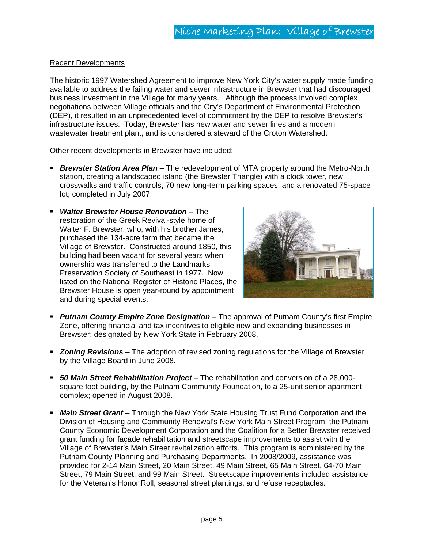#### Recent Developments

The historic 1997 Watershed Agreement to improve New York City's water supply made funding available to address the failing water and sewer infrastructure in Brewster that had discouraged business investment in the Village for many years. Although the process involved complex negotiations between Village officials and the City's Department of Environmental Protection (DEP), it resulted in an unprecedented level of commitment by the DEP to resolve Brewster's infrastructure issues. Today, Brewster has new water and sewer lines and a modern wastewater treatment plant, and is considered a steward of the Croton Watershed.

Other recent developments in Brewster have included:

- *Brewster Station Area Plan* The redevelopment of MTA property around the Metro-North station, creating a landscaped island (the Brewster Triangle) with a clock tower, new crosswalks and traffic controls, 70 new long-term parking spaces, and a renovated 75-space lot; completed in July 2007.
- *Walter Brewster House Renovation* The restoration of the Greek Revival-style home of Walter F. Brewster, who, with his brother James, purchased the 134-acre farm that became the Village of Brewster. Constructed around 1850, this building had been vacant for several years when ownership was transferred to the Landmarks Preservation Society of Southeast in 1977. Now listed on the National Register of Historic Places, the Brewster House is open year-round by appointment and during special events.



- *Putnam County Empire Zone Designation* The approval of Putnam County's first Empire Zone, offering financial and tax incentives to eligible new and expanding businesses in Brewster; designated by New York State in February 2008.
- *Zoning Revisions* The adoption of revised zoning regulations for the Village of Brewster by the Village Board in June 2008.
- *50 Main Street Rehabilitation Project* The rehabilitation and conversion of a 28,000 square foot building, by the Putnam Community Foundation, to a 25-unit senior apartment complex; opened in August 2008.
- *Main Street Grant* Through the New York State Housing Trust Fund Corporation and the Division of Housing and Community Renewal's New York Main Street Program, the Putnam County Economic Development Corporation and the Coalition for a Better Brewster received grant funding for façade rehabilitation and streetscape improvements to assist with the Village of Brewster's Main Street revitalization efforts. This program is administered by the Putnam County Planning and Purchasing Departments. In 2008/2009, assistance was provided for 2-14 Main Street, 20 Main Street, 49 Main Street, 65 Main Street, 64-70 Main Street, 79 Main Street, and 99 Main Street. Streetscape improvements included assistance for the Veteran's Honor Roll, seasonal street plantings, and refuse receptacles.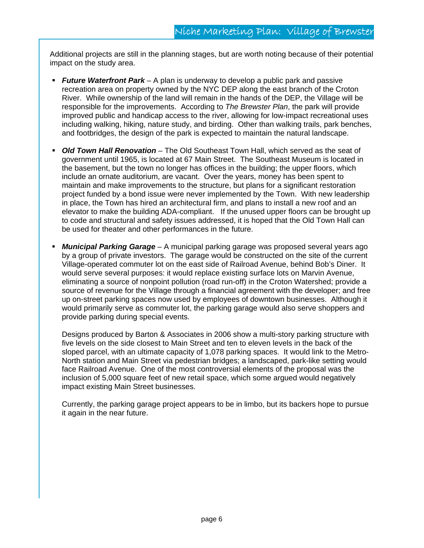Additional projects are still in the planning stages, but are worth noting because of their potential impact on the study area.

- *Future Waterfront Park*  A plan is underway to develop a public park and passive recreation area on property owned by the NYC DEP along the east branch of the Croton River. While ownership of the land will remain in the hands of the DEP, the Village will be responsible for the improvements. According to *The Brewster Plan*, the park will provide improved public and handicap access to the river, allowing for low-impact recreational uses including walking, hiking, nature study, and birding. Other than walking trails, park benches, and footbridges, the design of the park is expected to maintain the natural landscape.
- *Old Town Hall Renovation* The Old Southeast Town Hall, which served as the seat of government until 1965, is located at 67 Main Street. The Southeast Museum is located in the basement, but the town no longer has offices in the building; the upper floors, which include an ornate auditorium, are vacant. Over the years, money has been spent to maintain and make improvements to the structure, but plans for a significant restoration project funded by a bond issue were never implemented by the Town. With new leadership in place, the Town has hired an architectural firm, and plans to install a new roof and an elevator to make the building ADA-compliant. If the unused upper floors can be brought up to code and structural and safety issues addressed, it is hoped that the Old Town Hall can be used for theater and other performances in the future.
- *Municipal Parking Garage* A municipal parking garage was proposed several years ago by a group of private investors. The garage would be constructed on the site of the current Village-operated commuter lot on the east side of Railroad Avenue, behind Bob's Diner. It would serve several purposes: it would replace existing surface lots on Marvin Avenue, eliminating a source of nonpoint pollution (road run-off) in the Croton Watershed; provide a source of revenue for the Village through a financial agreement with the developer; and free up on-street parking spaces now used by employees of downtown businesses. Although it would primarily serve as commuter lot, the parking garage would also serve shoppers and provide parking during special events.

Designs produced by Barton & Associates in 2006 show a multi-story parking structure with five levels on the side closest to Main Street and ten to eleven levels in the back of the sloped parcel, with an ultimate capacity of 1,078 parking spaces. It would link to the Metro-North station and Main Street via pedestrian bridges; a landscaped, park-like setting would face Railroad Avenue. One of the most controversial elements of the proposal was the inclusion of 5,000 square feet of new retail space, which some argued would negatively impact existing Main Street businesses.

Currently, the parking garage project appears to be in limbo, but its backers hope to pursue it again in the near future.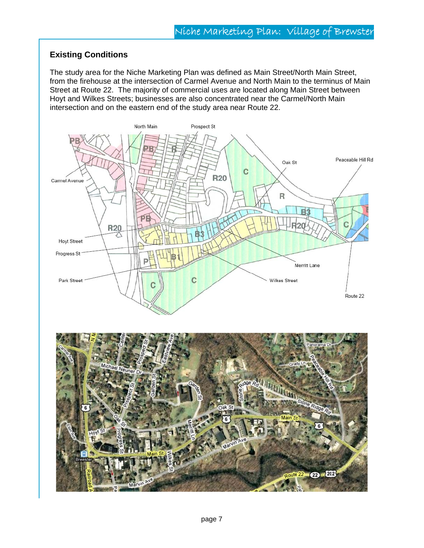### **Existing Conditions**

The study area for the Niche Marketing Plan was defined as Main Street/North Main Street, from the firehouse at the intersection of Carmel Avenue and North Main to the terminus of Main Street at Route 22. The majority of commercial uses are located along Main Street between Hoyt and Wilkes Streets; businesses are also concentrated near the Carmel/North Main intersection and on the eastern end of the study area near Route 22.

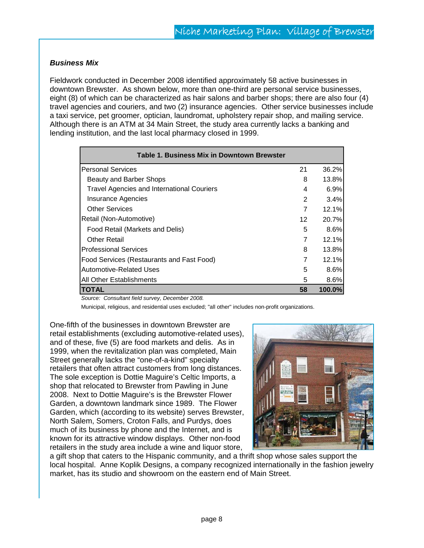#### *Business Mix*

Fieldwork conducted in December 2008 identified approximately 58 active businesses in downtown Brewster. As shown below, more than one-third are personal service businesses, eight (8) of which can be characterized as hair salons and barber shops; there are also four (4) travel agencies and couriers, and two (2) insurance agencies. Other service businesses include a taxi service, pet groomer, optician, laundromat, upholstery repair shop, and mailing service. Although there is an ATM at 34 Main Street, the study area currently lacks a banking and lending institution, and the last local pharmacy closed in 1999.

| Table 1. Business Mix in Downtown Brewster        |    |        |
|---------------------------------------------------|----|--------|
| <b>Personal Services</b>                          | 21 | 36.2%  |
| Beauty and Barber Shops                           | 8  | 13.8%  |
| <b>Travel Agencies and International Couriers</b> | 4  | 6.9%   |
| <b>Insurance Agencies</b>                         | 2  | 3.4%   |
| <b>Other Services</b>                             | 7  | 12.1%  |
| Retail (Non-Automotive)                           | 12 | 20.7%  |
| Food Retail (Markets and Delis)                   | 5  | 8.6%   |
| <b>Other Retail</b>                               | 7  | 12.1%  |
| <b>Professional Services</b>                      | 8  | 13.8%  |
| <b>Food Services (Restaurants and Fast Food)</b>  | 7  | 12.1%  |
| Automotive-Related Uses                           | 5  | 8.6%   |
| All Other Establishments                          | 5  | 8.6%   |
| TOTAL                                             | 58 | 100.0% |

*Source: Consultant field survey, December 2008.* 

Municipal, religious, and residential uses excluded; "all other" includes non-profit organizations.

One-fifth of the businesses in downtown Brewster are retail establishments (excluding automotive-related uses), and of these, five (5) are food markets and delis. As in 1999, when the revitalization plan was completed, Main Street generally lacks the "one-of-a-kind" specialty retailers that often attract customers from long distances. The sole exception is Dottie Maguire's Celtic Imports, a shop that relocated to Brewster from Pawling in June 2008. Next to Dottie Maguire's is the Brewster Flower Garden, a downtown landmark since 1989. The Flower Garden, which (according to its website) serves Brewster, North Salem, Somers, Croton Falls, and Purdys, does much of its business by phone and the Internet, and is known for its attractive window displays. Other non-food retailers in the study area include a wine and liquor store,



a gift shop that caters to the Hispanic community, and a thrift shop whose sales support the local hospital. Anne Koplik Designs, a company recognized internationally in the fashion jewelry market, has its studio and showroom on the eastern end of Main Street.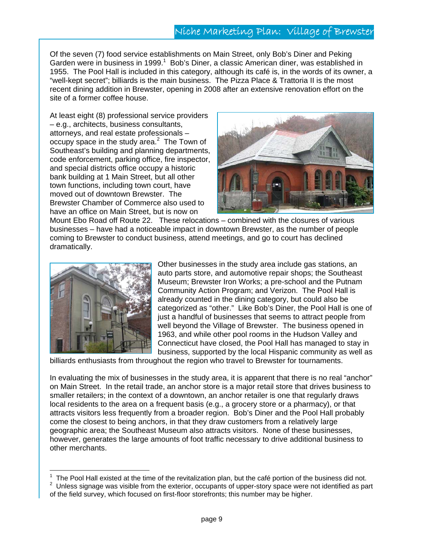# Niche Marketing Plan: Village of Brewster

Of the seven (7) food service establishments on Main Street, only Bob's Diner and Peking Garden were in business in 1999.<sup>1</sup> Bob's Diner, a classic American diner, was established in 1955. The Pool Hall is included in this category, although its café is, in the words of its owner, a "well-kept secret"; billiards is the main business. The Pizza Place & Trattoria II is the most recent dining addition in Brewster, opening in 2008 after an extensive renovation effort on the site of a former coffee house.

At least eight (8) professional service providers – e.g., architects, business consultants, attorneys, and real estate professionals – occupy space in the study area. $2$  The Town of Southeast's building and planning departments, code enforcement, parking office, fire inspector, and special districts office occupy a historic bank building at 1 Main Street, but all other town functions, including town court, have moved out of downtown Brewster. The Brewster Chamber of Commerce also used to have an office on Main Street, but is now on



Mount Ebo Road off Route 22. These relocations – combined with the closures of various businesses – have had a noticeable impact in downtown Brewster, as the number of people coming to Brewster to conduct business, attend meetings, and go to court has declined dramatically.



 $\overline{a}$ 

Other businesses in the study area include gas stations, an auto parts store, and automotive repair shops; the Southeast Museum; Brewster Iron Works; a pre-school and the Putnam Community Action Program; and Verizon. The Pool Hall is already counted in the dining category, but could also be categorized as "other." Like Bob's Diner, the Pool Hall is one of just a handful of businesses that seems to attract people from well beyond the Village of Brewster. The business opened in 1963, and while other pool rooms in the Hudson Valley and Connecticut have closed, the Pool Hall has managed to stay in business, supported by the local Hispanic community as well as

billiards enthusiasts from throughout the region who travel to Brewster for tournaments.

In evaluating the mix of businesses in the study area, it is apparent that there is no real "anchor" on Main Street. In the retail trade, an anchor store is a major retail store that drives business to smaller retailers; in the context of a downtown, an anchor retailer is one that regularly draws local residents to the area on a frequent basis (e.g., a grocery store or a pharmacy), or that attracts visitors less frequently from a broader region. Bob's Diner and the Pool Hall probably come the closest to being anchors, in that they draw customers from a relatively large geographic area; the Southeast Museum also attracts visitors. None of these businesses, however, generates the large amounts of foot traffic necessary to drive additional business to other merchants.

<sup>&</sup>lt;sup>1</sup> The Pool Hall existed at the time of the revitalization plan, but the café portion of the business did not.<br><sup>2</sup> Unless signage was visible from the exterior, acquipants of upper star upper part identified as no

Unless signage was visible from the exterior, occupants of upper-story space were not identified as part of the field survey, which focused on first-floor storefronts; this number may be higher.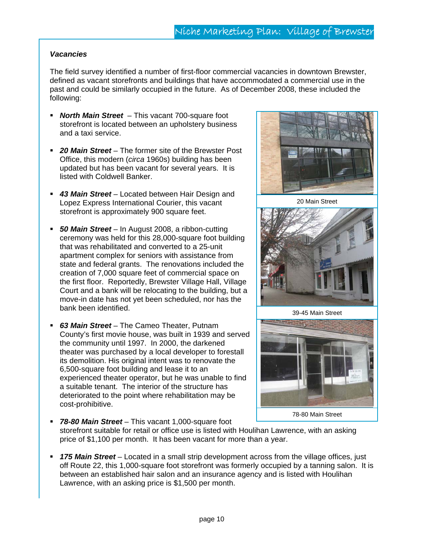#### *Vacancies*

The field survey identified a number of first-floor commercial vacancies in downtown Brewster, defined as vacant storefronts and buildings that have accommodated a commercial use in the past and could be similarly occupied in the future. As of December 2008, these included the following:

- *North Main Street*  This vacant 700-square foot storefront is located between an upholstery business and a taxi service.
- *20 Main Street* The former site of the Brewster Post Office, this modern (*circa* 1960s) building has been updated but has been vacant for several years. It is listed with Coldwell Banker.
- *43 Main Street* Located between Hair Design and Lopez Express International Courier, this vacant storefront is approximately 900 square feet.
- *50 Main Street* In August 2008, a ribbon-cutting ceremony was held for this 28,000-square foot building that was rehabilitated and converted to a 25-unit apartment complex for seniors with assistance from state and federal grants. The renovations included the creation of 7,000 square feet of commercial space on the first floor. Reportedly, Brewster Village Hall, Village Court and a bank will be relocating to the building, but a move-in date has not yet been scheduled, nor has the bank been identified.
- *63 Main Street* The Cameo Theater, Putnam County's first movie house, was built in 1939 and served the community until 1997. In 2000, the darkened theater was purchased by a local developer to forestall its demolition. His original intent was to renovate the 6,500-square foot building and lease it to an experienced theater operator, but he was unable to find a suitable tenant. The interior of the structure has deteriorated to the point where rehabilitation may be cost-prohibitive.



20 Main Street



39-45 Main Street



- *78-80 Main Street* This vacant 1,000-square foot storefront suitable for retail or office use is listed with Houlihan Lawrence, with an asking price of \$1,100 per month. It has been vacant for more than a year.
- *175 Main Street* Located in a small strip development across from the village offices, just off Route 22, this 1,000-square foot storefront was formerly occupied by a tanning salon. It is between an established hair salon and an insurance agency and is listed with Houlihan Lawrence, with an asking price is \$1,500 per month.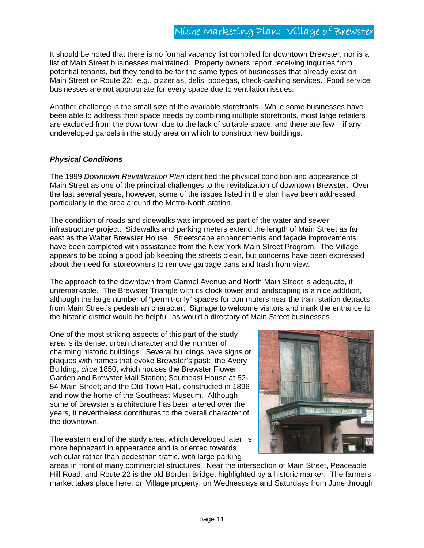It should be noted that there is no formal vacancy list compiled for downtown Brewster, nor is a list of Main Street businesses maintained. Property owners report receiving inquiries from potential tenants, but they tend to be for the same types of businesses that already exist on Main Street or Route 22: e.g., pizzerias, delis, bodegas, check-cashing services. Food service businesses are not appropriate for every space due to ventilation issues.

Another challenge is the small size of the available storefronts. While some businesses have been able to address their space needs by combining multiple storefronts, most large retailers are excluded from the downtown due to the lack of suitable space, and there are few  $-$  if any  $$ undeveloped parcels in the study area on which to construct new buildings.

#### *Physical Conditions*

The 1999 *Downtown Revitalization Plan* identified the physical condition and appearance of Main Street as one of the principal challenges to the revitalization of downtown Brewster. Over the last several years, however, some of the issues listed in the plan have been addressed, particularly in the area around the Metro-North station.

The condition of roads and sidewalks was improved as part of the water and sewer infrastructure project. Sidewalks and parking meters extend the length of Main Street as far east as the Walter Brewster House. Streetscape enhancements and façade improvements have been completed with assistance from the New York Main Street Program. The Village appears to be doing a good job keeping the streets clean, but concerns have been expressed about the need for storeowners to remove garbage cans and trash from view.

The approach to the downtown from Carmel Avenue and North Main Street is adequate, if unremarkable. The Brewster Triangle with its clock tower and landscaping is a nice addition, although the large number of "permit-only" spaces for commuters near the train station detracts from Main Street's pedestrian character, Signage to welcome visitors and mark the entrance to the historic district would be helpful, as would a directory of Main Street businesses.

One of the most striking aspects of this part of the study area is its dense, urban character and the number of charming historic buildings. Several buildings have signs or plaques with names that evoke Brewster's past: the Avery Building, *circa* 1850, which houses the Brewster Flower Garden and Brewster Mail Station; Southeast House at 52- 54 Main Street; and the Old Town Hall, constructed in 1896 and now the home of the Southeast Museum. Although some of Brewster's architecture has been altered over the years, it nevertheless contributes to the overall character of the downtown.

The eastern end of the study area, which developed later, is more haphazard in appearance and is oriented towards vehicular rather than pedestrian traffic, with large parking



areas in front of many commercial structures. Near the intersection of Main Street, Peaceable Hill Road, and Route 22 is the old Borden Bridge, highlighted by a historic marker. The farmers market takes place here, on Village property, on Wednesdays and Saturdays from June through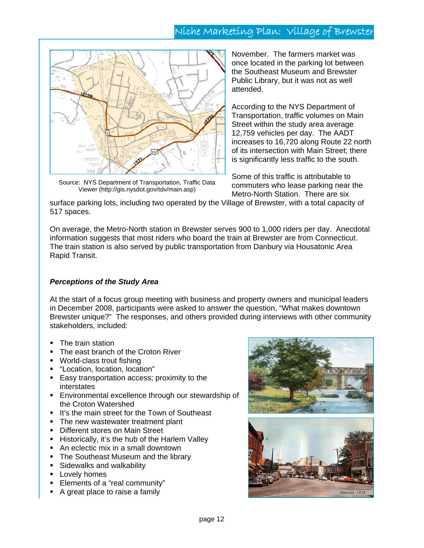# Niche Marketing Plan: Village of Brewster



Source: NYS Department of Transportation, Traffic Data Viewer (http://gis.nysdot.gov/tdv/main.asp)

November. The farmers market was once located in the parking lot between the Southeast Museum and Brewster Public Library, but it was not as well attended.

According to the NYS Department of Transportation, traffic volumes on Main Street within the study area average 12,759 vehicles per day. The AADT increases to 16,720 along Route 22 north of its intersection with Main Street; there is significantly less traffic to the south.

Some of this traffic is attributable to commuters who lease parking near the Metro-North Station. There are six

surface parking lots, including two operated by the Village of Brewster, with a total capacity of 517 spaces.

On average, the Metro-North station in Brewster serves 900 to 1,000 riders per day. Anecdotal information suggests that most riders who board the train at Brewster are from Connecticut. The train station is also served by public transportation from Danbury via Housatonic Area Rapid Transit.

#### *Perceptions of the Study Area*

At the start of a focus group meeting with business and property owners and municipal leaders in December 2008, participants were asked to answer the question, "What makes downtown Brewster unique?" The responses, and others provided during interviews with other community stakeholders, included:

- The train station
- The east branch of the Croton River
- World-class trout fishing
- "Location, location, location"
- **Easy transportation access; proximity to the** interstates
- Environmental excellence through our stewardship of the Croton Watershed
- If's the main street for the Town of Southeast
- The new wastewater treatment plant
- **-** Different stores on Main Street
- **Historically, it's the hub of the Harlem Valley**
- An eclectic mix in a small downtown
- The Southeast Museum and the library
- **Sidewalks and walkability**
- **Lovely homes**
- Elements of a "real community"
- A great place to raise a family

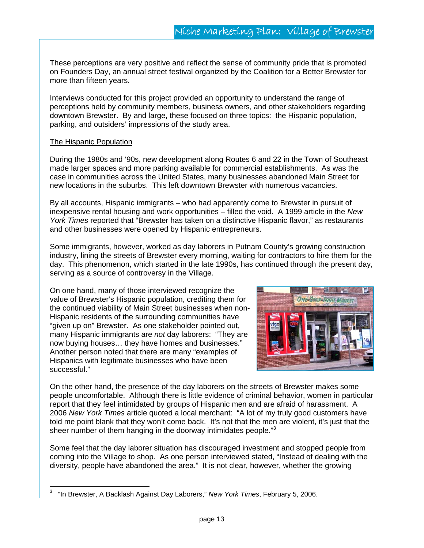These perceptions are very positive and reflect the sense of community pride that is promoted on Founders Day, an annual street festival organized by the Coalition for a Better Brewster for more than fifteen years.

Interviews conducted for this project provided an opportunity to understand the range of perceptions held by community members, business owners, and other stakeholders regarding downtown Brewster. By and large, these focused on three topics: the Hispanic population, parking, and outsiders' impressions of the study area.

#### The Hispanic Population

 $\overline{a}$ 

During the 1980s and '90s, new development along Routes 6 and 22 in the Town of Southeast made larger spaces and more parking available for commercial establishments. As was the case in communities across the United States, many businesses abandoned Main Street for new locations in the suburbs. This left downtown Brewster with numerous vacancies.

By all accounts, Hispanic immigrants – who had apparently come to Brewster in pursuit of inexpensive rental housing and work opportunities – filled the void. A 1999 article in the *New York Times* reported that "Brewster has taken on a distinctive Hispanic flavor," as restaurants and other businesses were opened by Hispanic entrepreneurs.

Some immigrants, however, worked as day laborers in Putnam County's growing construction industry, lining the streets of Brewster every morning, waiting for contractors to hire them for the day. This phenomenon, which started in the late 1990s, has continued through the present day, serving as a source of controversy in the Village.

On one hand, many of those interviewed recognize the value of Brewster's Hispanic population, crediting them for the continued viability of Main Street businesses when non-Hispanic residents of the surrounding communities have "given up on" Brewster. As one stakeholder pointed out, many Hispanic immigrants are *not* day laborers: "They are now buying houses… they have homes and businesses." Another person noted that there are many "examples of Hispanics with legitimate businesses who have been successful."



On the other hand, the presence of the day laborers on the streets of Brewster makes some people uncomfortable. Although there is little evidence of criminal behavior, women in particular report that they feel intimidated by groups of Hispanic men and are afraid of harassment. A 2006 *New York Times* article quoted a local merchant: "A lot of my truly good customers have told me point blank that they won't come back. It's not that the men are violent, it's just that the sheer number of them hanging in the doorway intimidates people."<sup>3</sup>

Some feel that the day laborer situation has discouraged investment and stopped people from coming into the Village to shop. As one person interviewed stated, "Instead of dealing with the diversity, people have abandoned the area." It is not clear, however, whether the growing

<sup>3</sup> "In Brewster, A Backlash Against Day Laborers," *New York Times*, February 5, 2006.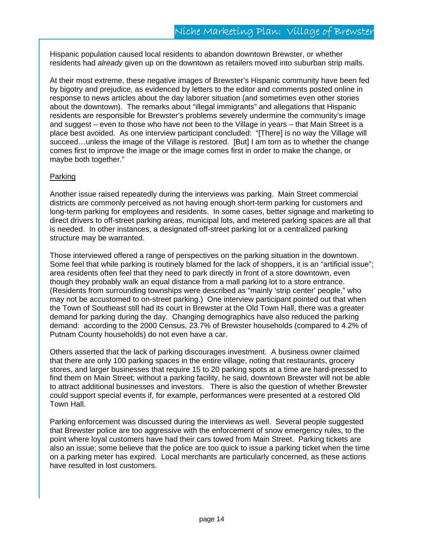Hispanic population caused local residents to abandon downtown Brewster, or whether residents had *already* given up on the downtown as retailers moved into suburban strip malls.

At their most extreme, these negative images of Brewster's Hispanic community have been fed by bigotry and prejudice, as evidenced by letters to the editor and comments posted online in response to news articles about the day laborer situation (and sometimes even other stories about the downtown). The remarks about "illegal immigrants" and allegations that Hispanic residents are responsible for Brewster's problems severely undermine the community's image and suggest – even to those who have not been to the Village in years – that Main Street is a place best avoided. As one interview participant concluded: "[There] is no way the Village will succeed…unless the image of the Village is restored. [But] I am torn as to whether the change comes first to improve the image or the image comes first in order to make the change, or maybe both together."

#### Parking

Another issue raised repeatedly during the interviews was parking. Main Street commercial districts are commonly perceived as not having enough short-term parking for customers and long-term parking for employees and residents. In some cases, better signage and marketing to direct drivers to off-street parking areas, municipal lots, and metered parking spaces are all that is needed. In other instances, a designated off-street parking lot or a centralized parking structure may be warranted.

Those interviewed offered a range of perspectives on the parking situation in the downtown. Some feel that while parking is routinely blamed for the lack of shoppers, it is an "artificial issue"; area residents often feel that they need to park directly in front of a store downtown, even though they probably walk an equal distance from a mall parking lot to a store entrance. (Residents from surrounding townships were described as "mainly 'strip center' people," who may not be accustomed to on-street parking.) One interview participant pointed out that when the Town of Southeast still had its court in Brewster at the Old Town Hall, there was a greater demand for parking during the day. Changing demographics have also reduced the parking demand: according to the 2000 Census, 23.7% of Brewster households (compared to 4.2% of Putnam County households) do not even have a car.

Others asserted that the lack of parking discourages investment. A business owner claimed that there are only 100 parking spaces in the entire village, noting that restaurants, grocery stores, and larger businesses that require 15 to 20 parking spots at a time are hard-pressed to find them on Main Street; without a parking facility, he said, downtown Brewster will not be able to attract additional businesses and investors. There is also the question of whether Brewster could support special events if, for example, performances were presented at a restored Old Town Hall.

Parking enforcement was discussed during the interviews as well. Several people suggested that Brewster police are too aggressive with the enforcement of snow emergency rules, to the point where loyal customers have had their cars towed from Main Street. Parking tickets are also an issue; some believe that the police are too quick to issue a parking ticket when the time on a parking meter has expired. Local merchants are particularly concerned, as these actions have resulted in lost customers.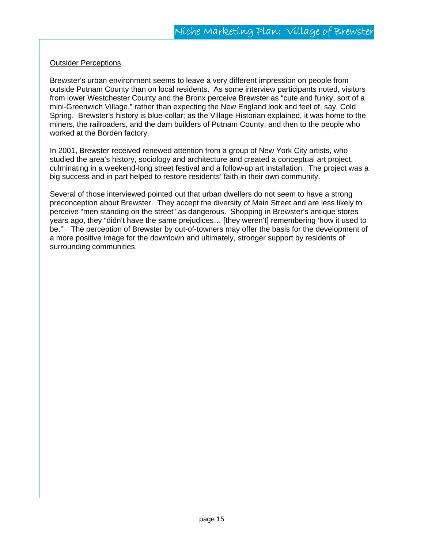#### **Outsider Perceptions**

Brewster's urban environment seems to leave a very different impression on people from outside Putnam County than on local residents. As some interview participants noted, visitors from lower Westchester County and the Bronx perceive Brewster as "cute and funky, sort of a mini-Greenwich Village," rather than expecting the New England look and feel of, say, Cold Spring. Brewster's history is blue-collar; as the Village Historian explained, it was home to the miners, the railroaders, and the dam builders of Putnam County, and then to the people who worked at the Borden factory.

In 2001, Brewster received renewed attention from a group of New York City artists, who studied the area's history, sociology and architecture and created a conceptual art project, culminating in a weekend-long street festival and a follow-up art installation. The project was a big success and in part helped to restore residents' faith in their own community.

Several of those interviewed pointed out that urban dwellers do not seem to have a strong preconception about Brewster. They accept the diversity of Main Street and are less likely to perceive "men standing on the street" as dangerous. Shopping in Brewster's antique stores years ago, they "didn't have the same prejudices… [they weren't] remembering 'how it used to be.'" The perception of Brewster by out-of-towners may offer the basis for the development of a more positive image for the downtown and ultimately, stronger support by residents of surrounding communities.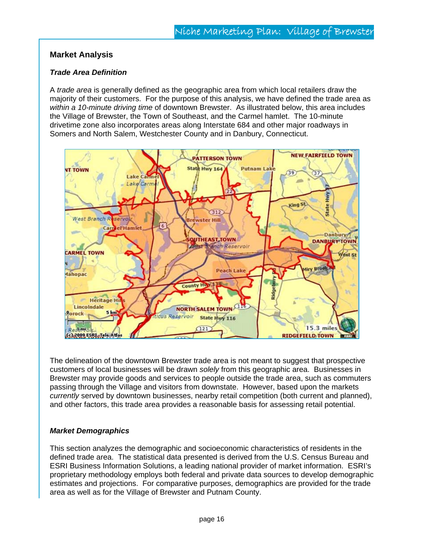#### **Market Analysis**

#### *Trade Area Definition*

A *trade area* is generally defined as the geographic area from which local retailers draw the majority of their customers. For the purpose of this analysis, we have defined the trade area as *within a 10-minute driving time* of downtown Brewster. As illustrated below, this area includes the Village of Brewster, the Town of Southeast, and the Carmel hamlet. The 10-minute drivetime zone also incorporates areas along Interstate 684 and other major roadways in Somers and North Salem, Westchester County and in Danbury, Connecticut.



The delineation of the downtown Brewster trade area is not meant to suggest that prospective customers of local businesses will be drawn *solely* from this geographic area. Businesses in Brewster may provide goods and services to people outside the trade area, such as commuters passing through the Village and visitors from downstate. However, based upon the markets *currently* served by downtown businesses, nearby retail competition (both current and planned), and other factors, this trade area provides a reasonable basis for assessing retail potential.

#### *Market Demographics*

This section analyzes the demographic and socioeconomic characteristics of residents in the defined trade area. The statistical data presented is derived from the U.S. Census Bureau and ESRI Business Information Solutions, a leading national provider of market information. ESRI's proprietary methodology employs both federal and private data sources to develop demographic estimates and projections. For comparative purposes, demographics are provided for the trade area as well as for the Village of Brewster and Putnam County.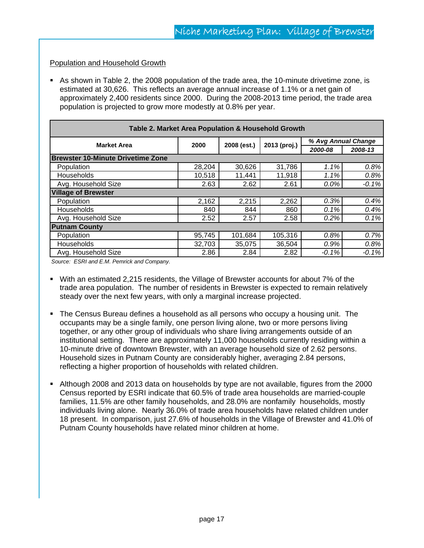#### Population and Household Growth

 As shown in Table 2, the 2008 population of the trade area, the 10-minute drivetime zone, is estimated at 30,626. This reflects an average annual increase of 1.1% or a net gain of approximately 2,400 residents since 2000. During the 2008-2013 time period, the trade area population is projected to grow more modestly at 0.8% per year.

| Table 2. Market Area Population & Household Growth |        |              |                     |         |         |  |
|----------------------------------------------------|--------|--------------|---------------------|---------|---------|--|
| <b>Market Area</b><br>2000<br>2008 (est.)          |        | 2013 (proj.) | % Avg Annual Change |         |         |  |
|                                                    |        |              |                     | 2000-08 | 2008-13 |  |
| <b>Brewster 10-Minute Drivetime Zone</b>           |        |              |                     |         |         |  |
| Population                                         | 28,204 | 30,626       | 31,786              | 1.1%    | 0.8%    |  |
| Households                                         | 10,518 | 11,441       | 11,918              | 1.1%    | 0.8%    |  |
| Avg. Household Size                                | 2.63   | 2.62         | 2.61                | $0.0\%$ | $-0.1%$ |  |
| <b>Village of Brewster</b>                         |        |              |                     |         |         |  |
| Population                                         | 2,162  | 2,215        | 2,262               | 0.3%    | 0.4%    |  |
| Households                                         | 840    | 844          | 860                 | 0.1%    | 0.4%    |  |
| Avg. Household Size                                | 2.52   | 2.57         | 2.58                | 0.2%    | 0.1%    |  |
| <b>Putnam County</b>                               |        |              |                     |         |         |  |
| Population                                         | 95,745 | 101,684      | 105,316             | 0.8%    | 0.7%    |  |
| Households                                         | 32,703 | 35,075       | 36,504              | 0.9%    | 0.8%    |  |
| Avg. Household Size                                | 2.86   | 2.84         | 2.82                | $-0.1%$ | $-0.1%$ |  |

*Source: ESRI and E.M. Pemrick and Company.*

- With an estimated 2,215 residents, the Village of Brewster accounts for about 7% of the trade area population. The number of residents in Brewster is expected to remain relatively steady over the next few years, with only a marginal increase projected.
- The Census Bureau defines a household as all persons who occupy a housing unit. The occupants may be a single family, one person living alone, two or more persons living together, or any other group of individuals who share living arrangements outside of an institutional setting. There are approximately 11,000 households currently residing within a 10-minute drive of downtown Brewster, with an average household size of 2.62 persons. Household sizes in Putnam County are considerably higher, averaging 2.84 persons, reflecting a higher proportion of households with related children.
- Although 2008 and 2013 data on households by type are not available, figures from the 2000 Census reported by ESRI indicate that 60.5% of trade area households are married-couple families, 11.5% are other family households, and 28.0% are nonfamily households, mostly individuals living alone. Nearly 36.0% of trade area households have related children under 18 present. In comparison, just 27.6% of households in the Village of Brewster and 41.0% of Putnam County households have related minor children at home.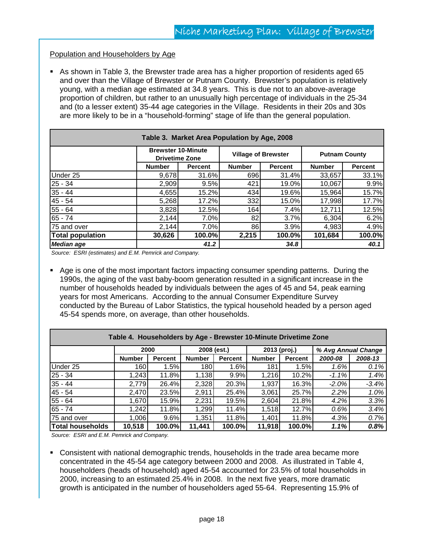#### Population and Householders by Age

 As shown in Table 3, the Brewster trade area has a higher proportion of residents aged 65 and over than the Village of Brewster or Putnam County. Brewster's population is relatively young, with a median age estimated at 34.8 years. This is due not to an above-average proportion of children, but rather to an unusually high percentage of individuals in the 25-34 and (to a lesser extent) 35-44 age categories in the Village. Residents in their 20s and 30s are more likely to be in a "household-forming" stage of life than the general population.

| Table 3. Market Area Population by Age, 2008 |               |                                                    |               |                            |               |                      |  |
|----------------------------------------------|---------------|----------------------------------------------------|---------------|----------------------------|---------------|----------------------|--|
|                                              |               | <b>Brewster 10-Minute</b><br><b>Drivetime Zone</b> |               | <b>Village of Brewster</b> |               | <b>Putnam County</b> |  |
|                                              | <b>Number</b> | Percent                                            | <b>Number</b> | <b>Percent</b>             | <b>Number</b> | <b>Percent</b>       |  |
| Under 25                                     | 9,678         | 31.6%                                              | 696           | 31.4%                      | 33,657        | 33.1%                |  |
| $25 - 34$                                    | 2,909         | 9.5%                                               | 421           | 19.0%                      | 10,067        | 9.9%                 |  |
| $35 - 44$                                    | 4,655         | 15.2%                                              | 434           | 19.6%                      | 15,964        | 15.7%                |  |
| $45 - 54$                                    | 5,268         | 17.2%                                              | 332           | 15.0%                      | 17,998        | 17.7%                |  |
| $55 - 64$                                    | 3,828         | 12.5%                                              | 164           | 7.4%                       | 12,711        | 12.5%                |  |
| $65 - 74$                                    | 2,144         | 7.0%                                               | 82            | 3.7%                       | 6,304         | 6.2%                 |  |
| 75 and over                                  | 2,144         | 7.0%                                               | 86            | 3.9%                       | 4,983         | 4.9%                 |  |
| <b>Total population</b>                      | 30,626        | 100.0%                                             | 2,215         | 100.0%                     | 101,684       | 100.0%               |  |
| Median age                                   |               | 41.2                                               |               | 34.8                       |               | 40.1                 |  |

*Source: ESRI (estimates) and E.M. Pemrick and Company.*

 Age is one of the most important factors impacting consumer spending patterns. During the 1990s, the aging of the vast baby-boom generation resulted in a significant increase in the number of households headed by individuals between the ages of 45 and 54, peak earning years for most Americans. According to the annual Consumer Expenditure Survey conducted by the Bureau of Labor Statistics, the typical household headed by a person aged 45-54 spends more, on average, than other households.

| Table 4. Householders by Age - Brewster 10-Minute Drivetime Zone |               |         |               |                |               |         |                     |         |
|------------------------------------------------------------------|---------------|---------|---------------|----------------|---------------|---------|---------------------|---------|
|                                                                  | 2000          |         | 2008 (est.)   |                | 2013 (proj.)  |         | % Avg Annual Change |         |
|                                                                  | <b>Number</b> | Percent | <b>Number</b> | <b>Percent</b> | <b>Number</b> | Percent | 2000-08             | 2008-13 |
| Under 25                                                         | 160           | 1.5%    | 180I          | 1.6%           | 181           | 1.5%    | 1.6%                | 0.1%    |
| $25 - 34$                                                        | 1,243         | 11.8%   | 1,138         | 9.9%           | 1,216         | 10.2%   | $-1.1\%$            | 1.4%    |
| $35 - 44$                                                        | 2,779         | 26.4%   | 2,328         | 20.3%          | 1,937         | 16.3%   | $-2.0\%$            | $-3.4%$ |
| 45 - 54                                                          | 2,470         | 23.5%   | 2,911         | 25.4%          | 3,061         | 25.7%   | 2.2%                | 1.0%    |
| 55 - 64                                                          | 1,670         | 15.9%   | 2,231         | 19.5%          | 2,604         | 21.8%   | 4.2%                | 3.3%    |
| $65 - 74$                                                        | 1,242         | 11.8%   | 1,299         | 11.4%          | 1,518         | 12.7%   | 0.6%                | 3.4%    |
| 75 and over                                                      | 1,006         | 9.6%    | 1,351         | 11.8%          | 1,401         | 11.8%   | 4.3%                | 0.7%    |
| Total households                                                 | 10,518        | 100.0%  | 11,441        | 100.0%         | 11,918        | 100.0%  | 1.1%                | 0.8%    |

*Source: ESRI and E.M. Pemrick and Company.*

 Consistent with national demographic trends, households in the trade area became more concentrated in the 45-54 age category between 2000 and 2008. As illustrated in Table 4, householders (heads of household) aged 45-54 accounted for 23.5% of total households in 2000, increasing to an estimated 25.4% in 2008. In the next five years, more dramatic growth is anticipated in the number of householders aged 55-64. Representing 15.9% of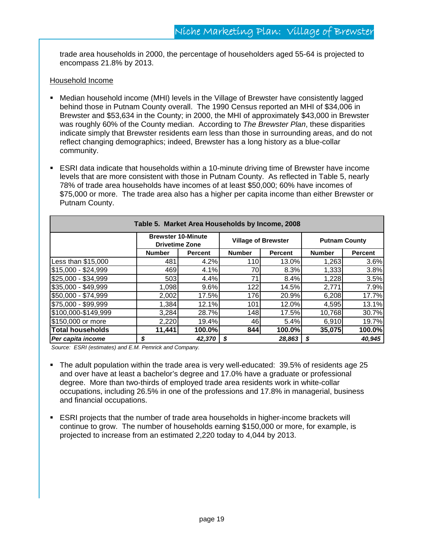trade area households in 2000, the percentage of householders aged 55-64 is projected to encompass 21.8% by 2013.

#### Household Income

- Median household income (MHI) levels in the Village of Brewster have consistently lagged behind those in Putnam County overall. The 1990 Census reported an MHI of \$34,006 in Brewster and \$53,634 in the County; in 2000, the MHI of approximately \$43,000 in Brewster was roughly 60% of the County median. According to *The Brewster Plan*, these disparities indicate simply that Brewster residents earn less than those in surrounding areas, and do not reflect changing demographics; indeed, Brewster has a long history as a blue-collar community.
- ESRI data indicate that households within a 10-minute driving time of Brewster have income levels that are more consistent with those in Putnam County. As reflected in Table 5, nearly 78% of trade area households have incomes of at least \$50,000; 60% have incomes of \$75,000 or more. The trade area also has a higher per capita income than either Brewster or Putnam County.

| Table 5. Market Area Households by Income, 2008 |               |                                                    |               |                            |               |                      |  |
|-------------------------------------------------|---------------|----------------------------------------------------|---------------|----------------------------|---------------|----------------------|--|
|                                                 |               | <b>Brewster 10-Minute</b><br><b>Drivetime Zone</b> |               | <b>Village of Brewster</b> |               | <b>Putnam County</b> |  |
|                                                 | <b>Number</b> | Percent                                            | <b>Number</b> | <b>Percent</b>             | <b>Number</b> | Percent              |  |
| Less than \$15,000                              | 481           | 4.2%                                               | 110           | 13.0%                      | 1,263         | 3.6%                 |  |
| \$15,000 - \$24,999                             | 469           | 4.1%                                               | 70            | 8.3%                       | 1,333         | 3.8%                 |  |
| \$25,000 - \$34,999                             | 503           | 4.4%                                               | 71            | 8.4%                       | 1,228         | 3.5%                 |  |
| \$35,000 - \$49,999                             | 1,098         | 9.6%                                               | 122           | 14.5%                      | 2,771         | 7.9%                 |  |
| \$50,000 - \$74,999                             | 2,002         | 17.5%                                              | 176           | 20.9%                      | 6,208         | 17.7%                |  |
| \$75,000 - \$99,999                             | 1,384         | 12.1%                                              | 101           | 12.0%                      | 4,595         | 13.1%                |  |
| \$100,000-\$149,999                             | 3,284         | 28.7%                                              | 148           | 17.5%                      | 10,768        | 30.7%                |  |
| \$150,000 or more                               | 2,220         | 19.4%                                              | 461           | 5.4%                       | 6,910         | 19.7%                |  |
| <b>Total households</b>                         | 11,441        | 100.0%                                             | 844           | 100.0%                     | 35,075        | 100.0%               |  |
| Per capita income                               | S             | 42,370                                             | S             | 28.863                     | - \$          | 40.945               |  |

*Source: ESRI (estimates) and E.M. Pemrick and Company.*

- The adult population within the trade area is very well-educated: 39.5% of residents age 25 and over have at least a bachelor's degree and 17.0% have a graduate or professional degree. More than two-thirds of employed trade area residents work in white-collar occupations, including 26.5% in one of the professions and 17.8% in managerial, business and financial occupations.
- ESRI projects that the number of trade area households in higher-income brackets will continue to grow. The number of households earning \$150,000 or more, for example, is projected to increase from an estimated 2,220 today to 4,044 by 2013.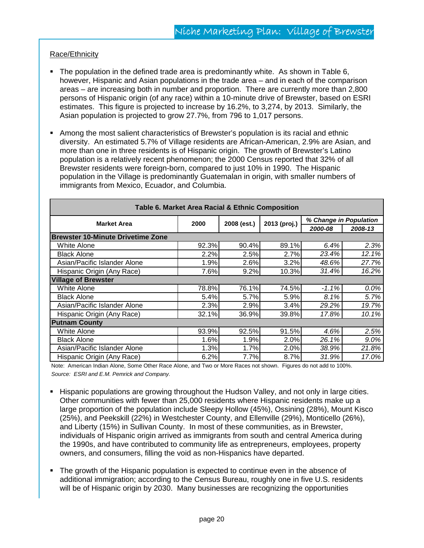#### Race/Ethnicity

- The population in the defined trade area is predominantly white. As shown in Table  $6$ , however, Hispanic and Asian populations in the trade area – and in each of the comparison areas – are increasing both in number and proportion. There are currently more than 2,800 persons of Hispanic origin (of any race) within a 10-minute drive of Brewster, based on ESRI estimates. This figure is projected to increase by 16.2%, to 3,274, by 2013. Similarly, the Asian population is projected to grow 27.7%, from 796 to 1,017 persons.
- Among the most salient characteristics of Brewster's population is its racial and ethnic diversity. An estimated 5.7% of Village residents are African-American, 2.9% are Asian, and more than one in three residents is of Hispanic origin. The growth of Brewster's Latino population is a relatively recent phenomenon; the 2000 Census reported that 32% of all Brewster residents were foreign-born, compared to just 10% in 1990. The Hispanic population in the Village is predominantly Guatemalan in origin, with smaller numbers of immigrants from Mexico, Ecuador, and Columbia.

| Table 6. Market Area Racial & Ethnic Composition |       |             |              |                        |         |  |  |
|--------------------------------------------------|-------|-------------|--------------|------------------------|---------|--|--|
| <b>Market Area</b>                               | 2000  | 2008 (est.) | 2013 (proj.) | % Change in Population |         |  |  |
|                                                  |       |             |              | 2000-08                | 2008-13 |  |  |
| <b>Brewster 10-Minute Drivetime Zone</b>         |       |             |              |                        |         |  |  |
| <b>White Alone</b>                               | 92.3% | 90.4%       | 89.1%        | 6.4%                   | 2.3%    |  |  |
| <b>Black Alone</b>                               | 2.2%  | 2.5%        | 2.7%         | 23.4%                  | 12.1%   |  |  |
| Asian/Pacific Islander Alone                     | 1.9%  | 2.6%        | 3.2%         | 48.6%                  | 27.7%   |  |  |
| Hispanic Origin (Any Race)                       | 7.6%  | 9.2%        | 10.3%        | 31.4%                  | 16.2%   |  |  |
| <b>Village of Brewster</b>                       |       |             |              |                        |         |  |  |
| White Alone                                      | 78.8% | 76.1%       | 74.5%        | $-1.1%$                | 0.0%    |  |  |
| <b>Black Alone</b>                               | 5.4%  | 5.7%        | 5.9%         | 8.1%                   | 5.7%    |  |  |
| Asian/Pacific Islander Alone                     | 2.3%  | 2.9%        | 3.4%         | 29.2%                  | 19.7%   |  |  |
| Hispanic Origin (Any Race)                       | 32.1% | 36.9%       | 39.8%        | 17.8%                  | 10.1%   |  |  |
| <b>Putnam County</b>                             |       |             |              |                        |         |  |  |
| White Alone                                      | 93.9% | 92.5%       | 91.5%        | 4.6%                   | 2.5%    |  |  |
| <b>Black Alone</b>                               | 1.6%  | 1.9%        | 2.0%         | 26.1%                  | 9.0%    |  |  |
| Asian/Pacific Islander Alone                     | 1.3%  | 1.7%        | 2.0%         | 38.9%                  | 21.8%   |  |  |
| Hispanic Origin (Any Race)                       | 6.2%  | 7.7%        | 8.7%         | 31.9%                  | 17.0%   |  |  |

Note: American Indian Alone, Some Other Race Alone, and Two or More Races not shown. Figures do not add to 100%. *Source: ESRI and E.M. Pemrick and Company.* 

- Hispanic populations are growing throughout the Hudson Valley, and not only in large cities. Other communities with fewer than 25,000 residents where Hispanic residents make up a large proportion of the population include Sleepy Hollow (45%), Ossining (28%), Mount Kisco (25%), and Peekskill (22%) in Westchester County, and Ellenville (29%), Monticello (26%), and Liberty (15%) in Sullivan County. In most of these communities, as in Brewster, individuals of Hispanic origin arrived as immigrants from south and central America during the 1990s, and have contributed to community life as entrepreneurs, employees, property owners, and consumers, filling the void as non-Hispanics have departed.
- The growth of the Hispanic population is expected to continue even in the absence of additional immigration; according to the Census Bureau, roughly one in five U.S. residents will be of Hispanic origin by 2030. Many businesses are recognizing the opportunities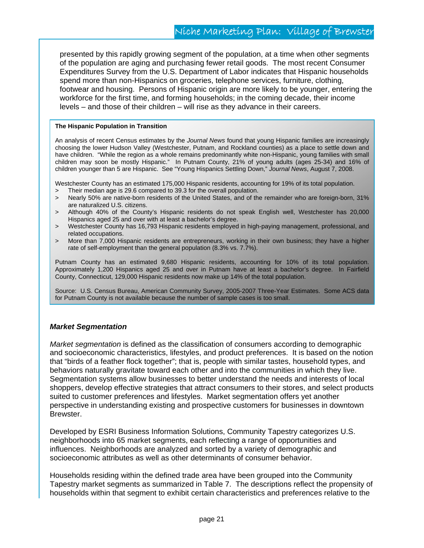presented by this rapidly growing segment of the population, at a time when other segments of the population are aging and purchasing fewer retail goods. The most recent Consumer Expenditures Survey from the U.S. Department of Labor indicates that Hispanic households spend more than non-Hispanics on groceries, telephone services, furniture, clothing, footwear and housing. Persons of Hispanic origin are more likely to be younger, entering the workforce for the first time, and forming households; in the coming decade, their income levels – and those of their children – will rise as they advance in their careers.

#### **The Hispanic Population in Transition**

An analysis of recent Census estimates by the *Journal News* found that young Hispanic families are increasingly choosing the lower Hudson Valley (Westchester, Putnam, and Rockland counties) as a place to settle down and have children. "While the region as a whole remains predominantly white non-Hispanic, young families with small children may soon be mostly Hispanic." In Putnam County, 21% of young adults (ages 25-34) and 16% of children younger than 5 are Hispanic. See "Young Hispanics Settling Down," *Journal News*, August 7, 2008.

Westchester County has an estimated 175,000 Hispanic residents, accounting for 19% of its total population.

- > Their median age is 29.6 compared to 39.3 for the overall population.
- > Nearly 50% are native-born residents of the United States, and of the remainder who are foreign-born, 31% are naturalized U.S. citizens.
- > Although 40% of the County's Hispanic residents do not speak English well, Westchester has 20,000 Hispanics aged 25 and over with at least a bachelor's degree.
- > Westchester County has 16,793 Hispanic residents employed in high-paying management, professional, and related occupations.
- > More than 7,000 Hispanic residents are entrepreneurs, working in their own business; they have a higher rate of self-employment than the general population (8.3% vs. 7.7%).

Putnam County has an estimated 9,680 Hispanic residents, accounting for 10% of its total population. Approximately 1,200 Hispanics aged 25 and over in Putnam have at least a bachelor's degree. In Fairfield County, Connecticut, 129,000 Hispanic residents now make up 14% of the total population.

Source: U.S. Census Bureau, American Community Survey, 2005-2007 Three-Year Estimates. Some ACS data for Putnam County is not available because the number of sample cases is too small.

#### *Market Segmentation*

*Market segmentation* is defined as the classification of consumers according to demographic and socioeconomic characteristics, lifestyles, and product preferences. It is based on the notion that "birds of a feather flock together"; that is, people with similar tastes, household types, and behaviors naturally gravitate toward each other and into the communities in which they live. Segmentation systems allow businesses to better understand the needs and interests of local shoppers, develop effective strategies that attract consumers to their stores, and select products suited to customer preferences and lifestyles. Market segmentation offers yet another perspective in understanding existing and prospective customers for businesses in downtown Brewster.

Developed by ESRI Business Information Solutions, Community Tapestry categorizes U.S. neighborhoods into 65 market segments, each reflecting a range of opportunities and influences. Neighborhoods are analyzed and sorted by a variety of demographic and socioeconomic attributes as well as other determinants of consumer behavior.

Households residing within the defined trade area have been grouped into the Community Tapestry market segments as summarized in Table 7. The descriptions reflect the propensity of households within that segment to exhibit certain characteristics and preferences relative to the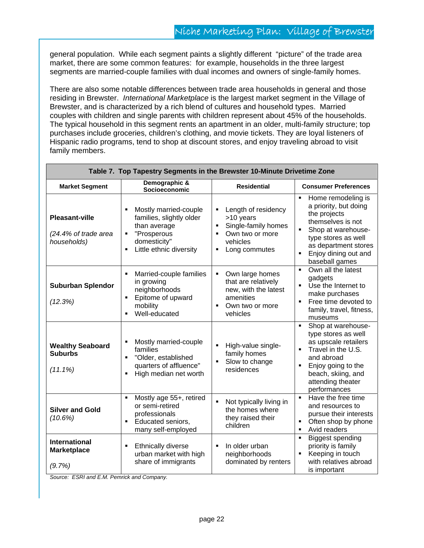general population. While each segment paints a slightly different "picture" of the trade area market, there are some common features: for example, households in the three largest segments are married-couple families with dual incomes and owners of single-family homes.

There are also some notable differences between trade area households in general and those residing in Brewster. *International Marketplace* is the largest market segment in the Village of Brewster, and is characterized by a rich blend of cultures and household types. Married couples with children and single parents with children represent about 45% of the households. The typical household in this segment rents an apartment in an older, multi-family structure; top purchases include groceries, children's clothing, and movie tickets. They are loyal listeners of Hispanic radio programs, tend to shop at discount stores, and enjoy traveling abroad to visit family members.

| Table 7. Top Tapestry Segments in the Brewster 10-Minute Drivetime Zone |                                                                                                                                                                 |                                                                                                                                                                                 |                                                                                                                                                                                                                         |  |  |
|-------------------------------------------------------------------------|-----------------------------------------------------------------------------------------------------------------------------------------------------------------|---------------------------------------------------------------------------------------------------------------------------------------------------------------------------------|-------------------------------------------------------------------------------------------------------------------------------------------------------------------------------------------------------------------------|--|--|
| <b>Market Segment</b>                                                   | Demographic &<br>Socioeconomic                                                                                                                                  | <b>Residential</b>                                                                                                                                                              | <b>Consumer Preferences</b>                                                                                                                                                                                             |  |  |
| <b>Pleasant-ville</b><br>(24.4% of trade area<br>households)            | Mostly married-couple<br>families, slightly older<br>than average<br>"Prosperous<br>$\blacksquare$<br>domesticity"<br>Little ethnic diversity<br>$\blacksquare$ | Length of residency<br>$\blacksquare$<br>>10 years<br>Single-family homes<br>$\blacksquare$<br>Own two or more<br>$\blacksquare$<br>vehicles<br>Long commutes<br>$\blacksquare$ | Home remodeling is<br>×,<br>a priority, but doing<br>the projects<br>themselves is not<br>$\blacksquare$<br>Shop at warehouse-<br>type stores as well<br>as department stores<br>Enjoy dining out and<br>baseball games |  |  |
| <b>Suburban Splendor</b><br>(12.3%)                                     | Married-couple families<br>٠<br>in growing<br>neighborhoods<br>Epitome of upward<br>$\blacksquare$<br>mobility<br>Well-educated<br>٠                            | Own large homes<br>$\blacksquare$<br>that are relatively<br>new, with the latest<br>amenities<br>Own two or more<br>$\blacksquare$<br>vehicles                                  | Own all the latest<br>$\blacksquare$<br>gadgets<br>Use the Internet to<br>make purchases<br>Free time devoted to<br>family, travel, fitness,<br>museums                                                                 |  |  |
| <b>Wealthy Seaboard</b><br><b>Suburbs</b><br>$(11.1\%)$                 | Mostly married-couple<br>families<br>"Older, established<br>$\blacksquare$<br>quarters of affluence"<br>High median net worth<br>$\blacksquare$                 | $\blacksquare$<br>High-value single-<br>family homes<br>$\blacksquare$<br>Slow to change<br>residences                                                                          | Shop at warehouse-<br>$\blacksquare$<br>type stores as well<br>as upscale retailers<br>Travel in the U.S.<br>٠<br>and abroad<br>Enjoy going to the<br>beach, skiing, and<br>attending theater<br>performances           |  |  |
| <b>Silver and Gold</b><br>(10.6%)                                       | Mostly age 55+, retired<br>٠<br>or semi-retired<br>professionals<br>Educated seniors,<br>٠<br>many self-employed                                                | $\blacksquare$<br>Not typically living in<br>the homes where<br>they raised their<br>children                                                                                   | Have the free time<br>$\blacksquare$<br>and resources to<br>pursue their interests<br>Often shop by phone<br>π<br>Avid readers<br>$\blacksquare$                                                                        |  |  |
| <b>International</b><br><b>Marketplace</b><br>(9.7%)                    | Ethnically diverse<br>٠<br>urban market with high<br>share of immigrants                                                                                        | In older urban<br>$\blacksquare$<br>neighborhoods<br>dominated by renters                                                                                                       | <b>Biggest spending</b><br>٠<br>priority is family<br>Keeping in touch<br>٠<br>with relatives abroad<br>is important                                                                                                    |  |  |

*Source: ESRI and E.M. Pemrick and Company.*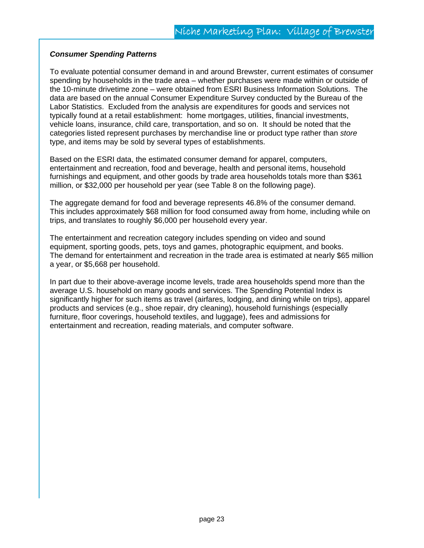#### *Consumer Spending Patterns*

To evaluate potential consumer demand in and around Brewster, current estimates of consumer spending by households in the trade area – whether purchases were made within or outside of the 10-minute drivetime zone – were obtained from ESRI Business Information Solutions. The data are based on the annual Consumer Expenditure Survey conducted by the Bureau of the Labor Statistics. Excluded from the analysis are expenditures for goods and services not typically found at a retail establishment: home mortgages, utilities, financial investments, vehicle loans, insurance, child care, transportation, and so on. It should be noted that the categories listed represent purchases by merchandise line or product type rather than *store* type, and items may be sold by several types of establishments.

Based on the ESRI data, the estimated consumer demand for apparel, computers, entertainment and recreation, food and beverage, health and personal items, household furnishings and equipment, and other goods by trade area households totals more than \$361 million, or \$32,000 per household per year (see Table 8 on the following page).

The aggregate demand for food and beverage represents 46.8% of the consumer demand. This includes approximately \$68 million for food consumed away from home, including while on trips, and translates to roughly \$6,000 per household every year.

The entertainment and recreation category includes spending on video and sound equipment, sporting goods, pets, toys and games, photographic equipment, and books. The demand for entertainment and recreation in the trade area is estimated at nearly \$65 million a year, or \$5,668 per household.

In part due to their above-average income levels, trade area households spend more than the average U.S. household on many goods and services. The Spending Potential Index is significantly higher for such items as travel (airfares, lodging, and dining while on trips), apparel products and services (e.g., shoe repair, dry cleaning), household furnishings (especially furniture, floor coverings, household textiles, and luggage), fees and admissions for entertainment and recreation, reading materials, and computer software.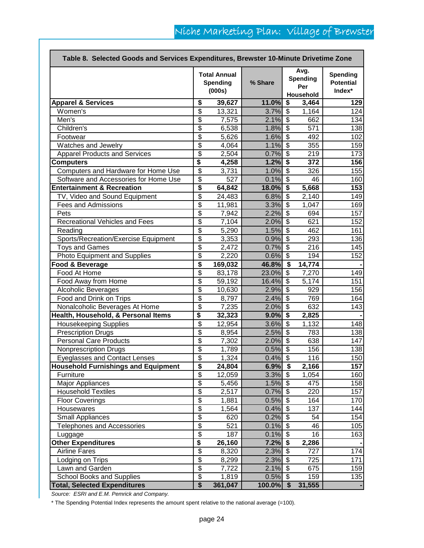|                                            |                                        | <b>Total Annual</b><br><b>Spending</b><br>(000s) | % Share    |                                      | Avg.<br><b>Spending</b><br>Per<br>Household | <b>Spending</b><br><b>Potential</b><br>Index* |
|--------------------------------------------|----------------------------------------|--------------------------------------------------|------------|--------------------------------------|---------------------------------------------|-----------------------------------------------|
| <b>Apparel &amp; Services</b>              | \$                                     | 39,627                                           | 11.0%      | \$                                   | 3,464                                       | 129                                           |
| Women's                                    | \$                                     | 13,321                                           | 3.7%       | $\overline{\boldsymbol{\theta}}$     | 1,164                                       | 124                                           |
| Men's                                      | $\overline{\boldsymbol{\mathfrak{s}}}$ | 7,575                                            | 2.1%       | \$                                   | 662                                         | 134                                           |
| Children's                                 | $\overline{\$}$                        | 6,538                                            | 1.8%       | $\boldsymbol{\mathsf{S}}$            | 571                                         | 138                                           |
| Footwear                                   | $\overline{\boldsymbol{\mathfrak{s}}}$ | 5,626                                            | 1.6%       | \$                                   | 492                                         | 102                                           |
| Watches and Jewelry                        | \$                                     | 4,064                                            | 1.1%       | \$                                   | 355                                         | 159                                           |
| <b>Apparel Products and Services</b>       | $\overline{\$}$                        | 2,504                                            | 0.7%       | \$                                   | 219                                         | 173                                           |
| <b>Computers</b>                           | \$                                     | 4,258                                            | 1.2%       | \$                                   | 372                                         | 156                                           |
| Computers and Hardware for Home Use        | $\overline{\$}$                        | 3,731                                            | 1.0%       | $\overline{\mathbf{3}}$              | 326                                         | 155                                           |
| Software and Accessories for Home Use      | $\overline{\$}$                        | 527                                              | 0.1%       | $\bullet$                            | 46                                          | 160                                           |
| <b>Entertainment &amp; Recreation</b>      | $\overline{\$}$                        | 64,842                                           | 18.0%      | $\overline{\bullet}$                 | 5,668                                       | 153                                           |
| TV, Video and Sound Equipment              | $\overline{\$}$                        | 24,483                                           | 6.8%       | $\overline{\mathbf{3}}$              | $\overline{2}$ , 140                        | 149                                           |
| Fees and Admissions                        | $\overline{\$}$                        | 11,981                                           | 3.3%       | $\overline{\boldsymbol{\theta}}$     | 1,047                                       | 169                                           |
| Pets                                       | $\overline{\$}$                        | 7,942                                            | 2.2%       | s)                                   | 694                                         | 157                                           |
| <b>Recreational Vehicles and Fees</b>      | $\overline{\$}$                        | 7,104                                            | 2.0%       | $\overline{\boldsymbol{\theta}}$     | 621                                         | 152                                           |
| Reading                                    | $\overline{\$}$                        | 5,290                                            | 1.5%       | $\overline{\mathbf{s}}$              | 462                                         | 161                                           |
| Sports/Recreation/Exercise Equipment       | $\overline{\boldsymbol{\mathsf{s}}}$   | 3,353                                            | 0.9%       | $\overline{\mathbf{3}}$              | 293                                         | 136                                           |
| <b>Toys and Games</b>                      | $\overline{\boldsymbol{\mathsf{s}}}$   | 2,472                                            | 0.7%       | \$                                   | 216                                         | 145                                           |
| Photo Equipment and Supplies               | \$                                     | 2,220                                            | 0.6%       | $\overline{\mathbf{s}}$              | 194                                         | 152                                           |
| Food & Beverage                            | \$                                     | 169,032                                          | 46.8%      | $\overline{\boldsymbol{\mathsf{s}}}$ | 14,774                                      |                                               |
| Food At Home                               | \$                                     | 83,178                                           | 23.0%      | $\overline{\mathbf{s}}$              | 7,270                                       | 149                                           |
| Food Away from Home                        | \$                                     | 59,192                                           | 16.4%      | $\overline{\boldsymbol{\theta}}$     | 5,174                                       | 151                                           |
| <b>Alcoholic Beverages</b>                 | \$                                     | 10,630                                           | 2.9%       | $\overline{\boldsymbol{\theta}}$     | 929                                         | 156                                           |
| Food and Drink on Trips                    | $\overline{\boldsymbol{\theta}}$       | 8,797                                            | 2.4%       | \$                                   | 769                                         | 164                                           |
| Nonalcoholic Beverages At Home             | $\overline{\$}$                        | 7,235                                            | 2.0%       | $\overline{\mathbf{S}}$              | 632                                         | 143                                           |
| Health, Household, & Personal Items        | \$                                     | 32,323                                           | 9.0%       | \$                                   | 2,825                                       |                                               |
| <b>Housekeeping Supplies</b>               | \$                                     | 12,954                                           | 3.6%       | \$                                   | 1,132                                       | 148                                           |
| <b>Prescription Drugs</b>                  | $\overline{\boldsymbol{\mathfrak{s}}}$ | 8,954                                            | 2.5%       | \$                                   | 783                                         | 138                                           |
| <b>Personal Care Products</b>              | $\overline{\boldsymbol{\theta}}$       | 7,302                                            | 2.0%       | $\overline{\mathbf{s}}$              | 638                                         | 147                                           |
| <b>Nonprescription Drugs</b>               | $\overline{\boldsymbol{\mathfrak{s}}}$ | 1,789                                            | 0.5%       | $\boldsymbol{\mathsf{S}}$            | 156                                         | 138                                           |
| <b>Eyeglasses and Contact Lenses</b>       | $\overline{\$}$                        | 1,324                                            | 0.4%       | $\overline{\mathbf{3}}$              | 116                                         | 150                                           |
| <b>Household Furnishings and Equipment</b> | \$                                     | 24,804                                           | $6.9%$ \$  |                                      | 2,166                                       | 157                                           |
| Furniture                                  | $\overline{\$}$                        | 12,059                                           | $3.3\%$ \$ |                                      | 1,054                                       | 160                                           |
| <b>Major Appliances</b>                    | $\overline{\mathbf{e}}$                | 5,456                                            | $1.5\%$ \$ |                                      | 475                                         | 158                                           |
| <b>Household Textiles</b>                  | $\overline{\$}$                        | 2,517                                            | 0.7%       | $\sqrt{3}$                           | 220                                         | 157                                           |
| <b>Floor Coverings</b>                     | $\overline{\$}$                        | 1,881                                            | 0.5%       | $\sqrt{3}$                           | 164                                         | 170                                           |
| Housewares                                 | $\overline{\$}$                        | 1,564                                            | 0.4%       | $\sqrt[6]{3}$                        | 137                                         | 144                                           |
| Small Appliances                           | $\overline{\$}$                        | 620                                              | 0.2%       | $\sqrt{3}$                           | 54                                          | 154                                           |
| Telephones and Accessories                 | $\overline{\$}$                        | 521                                              | 0.1%       | \$                                   | 46                                          | 105                                           |
| Luggage                                    | $\overline{\mathbf{e}}$                | 187                                              | 0.1%       | $\sqrt{3}$                           | 16                                          | 163                                           |
| Other Expenditures                         | \$                                     | 26,160                                           | 7.2%       | $\sqrt{2}$                           | 2,286                                       |                                               |
| <b>Airline Fares</b>                       | $\overline{\boldsymbol{\theta}}$       | 8,320                                            | 2.3%       | $\Theta$                             | 727                                         | 174                                           |
| Lodging on Trips                           | $\overline{\$}$                        | 8,299                                            | 2.3%       | $\bullet$                            | 725                                         | 171                                           |
| Lawn and Garden                            | $\overline{\$}$                        | 7,722                                            | 2.1%       | $\boldsymbol{\mathsf{\$}}$           | 675                                         | 159                                           |
| School Books and Supplies                  | $\overline{\mathbf{e}}$                | 1,819                                            | 0.5%       | $\sqrt{3}$                           | 159                                         | 135                                           |
| <b>Total, Selected Expenditures</b>        | $\overline{\$}$                        | 361,047                                          | 100.0%     | $\sqrt{2}$                           | 31,555                                      |                                               |

*Source: ESRI and E.M. Pemrick and Company.*

\* The Spending Potential Index represents the amount spent relative to the national average (=100).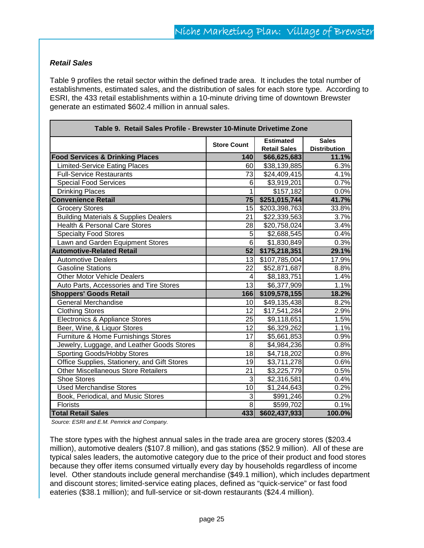#### *Retail Sales*

Table 9 profiles the retail sector within the defined trade area. It includes the total number of establishments, estimated sales, and the distribution of sales for each store type. According to ESRI, the 433 retail establishments within a 10-minute driving time of downtown Brewster generate an estimated \$602.4 million in annual sales.

| Table 9. Retail Sales Profile - Brewster 10-Minute Drivetime Zone |                    |                                         |                                     |  |  |
|-------------------------------------------------------------------|--------------------|-----------------------------------------|-------------------------------------|--|--|
|                                                                   | <b>Store Count</b> | <b>Estimated</b><br><b>Retail Sales</b> | <b>Sales</b><br><b>Distribution</b> |  |  |
| <b>Food Services &amp; Drinking Places</b>                        | 140                | \$66,625,683                            | 11.1%                               |  |  |
| <b>Limited-Service Eating Places</b>                              | 60                 | \$38,139,885                            | 6.3%                                |  |  |
| <b>Full-Service Restaurants</b>                                   | 73                 | \$24,409,415                            | 4.1%                                |  |  |
| Special Food Services                                             | 6                  | \$3,919,201                             | 0.7%                                |  |  |
| <b>Drinking Places</b>                                            | 1                  | \$157,182                               | 0.0%                                |  |  |
| <b>Convenience Retail</b>                                         | 75                 | \$251,015,744                           | 41.7%                               |  |  |
| <b>Grocery Stores</b>                                             | 15                 | \$203,398,763                           | 33.8%                               |  |  |
| <b>Building Materials &amp; Supplies Dealers</b>                  | $\overline{21}$    | \$22,339,563                            | 3.7%                                |  |  |
| <b>Health &amp; Personal Care Stores</b>                          | 28                 | \$20,758,024                            | 3.4%                                |  |  |
| <b>Specialty Food Stores</b>                                      | 5                  | \$2,688,545                             | 0.4%                                |  |  |
| Lawn and Garden Equipment Stores                                  | 6                  | \$1,830,849                             | 0.3%                                |  |  |
| <b>Automotive-Related Retail</b>                                  | 52                 | \$175,218,351                           | 29.1%                               |  |  |
| Automotive Dealers                                                | 13                 | \$107,785,004                           | 17.9%                               |  |  |
| <b>Gasoline Stations</b>                                          | 22                 | \$52,871,687                            | 8.8%                                |  |  |
| <b>Other Motor Vehicle Dealers</b>                                | $\overline{4}$     | \$8,183,751                             | 1.4%                                |  |  |
| Auto Parts, Accessories and Tire Stores                           | 13                 | \$6,377,909                             | 1.1%                                |  |  |
| <b>Shoppers' Goods Retail</b>                                     | 166                | \$109,578,155                           | 18.2%                               |  |  |
| General Merchandise                                               | 10                 | \$49,135,438                            | 8.2%                                |  |  |
| <b>Clothing Stores</b>                                            | 12                 | \$17,541,284                            | 2.9%                                |  |  |
| Electronics & Appliance Stores                                    | $\overline{25}$    | \$9,118,651                             | 1.5%                                |  |  |
| Beer, Wine, & Liquor Stores                                       | 12                 | \$6,329,262                             | 1.1%                                |  |  |
| Furniture & Home Furnishings Stores                               | 17                 | \$5,661,853                             | 0.9%                                |  |  |
| Jewelry, Luggage, and Leather Goods Stores                        | 8                  | \$4,984,236                             | 0.8%                                |  |  |
| Sporting Goods/Hobby Stores                                       | 18                 | \$4,718,202                             | 0.8%                                |  |  |
| Office Supplies, Stationery, and Gift Stores                      | 19                 | \$3,711,278                             | 0.6%                                |  |  |
| <b>Other Miscellaneous Store Retailers</b>                        | 21                 | \$3,225,779                             | 0.5%                                |  |  |
| <b>Shoe Stores</b>                                                | 3                  | \$2,316,581                             | 0.4%                                |  |  |
| <b>Used Merchandise Stores</b>                                    | 10                 | \$1,244,643                             | 0.2%                                |  |  |
| Book, Periodical, and Music Stores                                | $\overline{3}$     | \$991,246                               | 0.2%                                |  |  |
| <b>Florists</b>                                                   | $\infty$           | \$599,702                               | 0.1%                                |  |  |
| <b>Total Retail Sales</b>                                         | 433                | \$602,437,933                           | 100.0%                              |  |  |

*Source: ESRI and E.M. Pemrick and Company.* 

The store types with the highest annual sales in the trade area are grocery stores (\$203.4 million), automotive dealers (\$107.8 million), and gas stations (\$52.9 million). All of these are typical sales leaders, the automotive category due to the price of their product and food stores because they offer items consumed virtually every day by households regardless of income level. Other standouts include general merchandise (\$49.1 million), which includes department and discount stores; limited-service eating places, defined as "quick-service" or fast food eateries (\$38.1 million); and full-service or sit-down restaurants (\$24.4 million).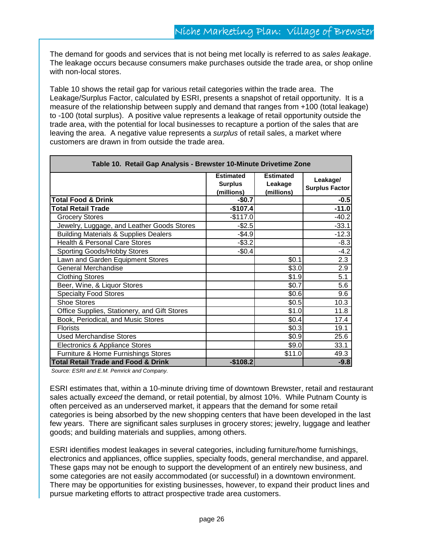The demand for goods and services that is not being met locally is referred to as *sales leakage*. The leakage occurs because consumers make purchases outside the trade area, or shop online with non-local stores.

Table 10 shows the retail gap for various retail categories within the trade area. The Leakage/Surplus Factor, calculated by ESRI, presents a snapshot of retail opportunity. It is a measure of the relationship between supply and demand that ranges from +100 (total leakage) to -100 (total surplus). A positive value represents a leakage of retail opportunity outside the trade area, with the potential for local businesses to recapture a portion of the sales that are leaving the area. A negative value represents a *surplus* of retail sales, a market where customers are drawn in from outside the trade area.

| Table 10. Retail Gap Analysis - Brewster 10-Minute Drivetime Zone |                                                  |                                           |                                   |  |  |
|-------------------------------------------------------------------|--------------------------------------------------|-------------------------------------------|-----------------------------------|--|--|
|                                                                   | <b>Estimated</b><br><b>Surplus</b><br>(millions) | <b>Estimated</b><br>Leakage<br>(millions) | Leakage/<br><b>Surplus Factor</b> |  |  |
| <b>Total Food &amp; Drink</b>                                     | $-$0.7$                                          |                                           | $-0.5$                            |  |  |
| <b>Total Retail Trade</b>                                         | $-$107.4$                                        |                                           | $-11.0$                           |  |  |
| <b>Grocery Stores</b>                                             | $-$117.0$                                        |                                           | $-40.2$                           |  |  |
| Jewelry, Luggage, and Leather Goods Stores                        | $-$ \$2.5                                        |                                           | $-33.1$                           |  |  |
| <b>Building Materials &amp; Supplies Dealers</b>                  | $-$4.9$                                          |                                           | $-12.3$                           |  |  |
| <b>Health &amp; Personal Care Stores</b>                          | $-$ \$3.2                                        |                                           | $-8.3$                            |  |  |
| Sporting Goods/Hobby Stores                                       | $-$0.4$                                          |                                           | $-4.2$                            |  |  |
| Lawn and Garden Equipment Stores                                  |                                                  | \$0.1                                     | 2.3                               |  |  |
| <b>General Merchandise</b>                                        |                                                  | \$3.0                                     | 2.9                               |  |  |
| <b>Clothing Stores</b>                                            |                                                  | \$1.9                                     | 5.1                               |  |  |
| Beer, Wine, & Liquor Stores                                       |                                                  | \$0.7                                     | 5.6                               |  |  |
| <b>Specialty Food Stores</b>                                      |                                                  | \$0.6                                     | 9.6                               |  |  |
| <b>Shoe Stores</b>                                                |                                                  | \$0.5                                     | 10.3                              |  |  |
| Office Supplies, Stationery, and Gift Stores                      |                                                  | \$1.0                                     | 11.8                              |  |  |
| Book, Periodical, and Music Stores                                |                                                  | \$0.4]                                    | 17.4                              |  |  |
| <b>Florists</b>                                                   |                                                  | \$0.3                                     | 19.1                              |  |  |
| <b>Used Merchandise Stores</b>                                    |                                                  | \$0.9                                     | 25.6                              |  |  |
| Electronics & Appliance Stores                                    |                                                  | \$9.0                                     | 33.1                              |  |  |
| Furniture & Home Furnishings Stores                               |                                                  | \$11.0                                    | 49.3                              |  |  |
| <b>Total Retail Trade and Food &amp; Drink</b>                    | $-$108.2$                                        |                                           | $-9.8$                            |  |  |

*Source: ESRI and E.M. Pemrick and Company.* 

ESRI estimates that, within a 10-minute driving time of downtown Brewster, retail and restaurant sales actually *exceed* the demand, or retail potential, by almost 10%. While Putnam County is often perceived as an underserved market, it appears that the demand for some retail categories is being absorbed by the new shopping centers that have been developed in the last few years. There are significant sales surpluses in grocery stores; jewelry, luggage and leather goods; and building materials and supplies, among others.

ESRI identifies modest leakages in several categories, including furniture/home furnishings, electronics and appliances, office supplies, specialty foods, general merchandise, and apparel. These gaps may not be enough to support the development of an entirely new business, and some categories are not easily accommodated (or successful) in a downtown environment. There may be opportunities for existing businesses, however, to expand their product lines and pursue marketing efforts to attract prospective trade area customers.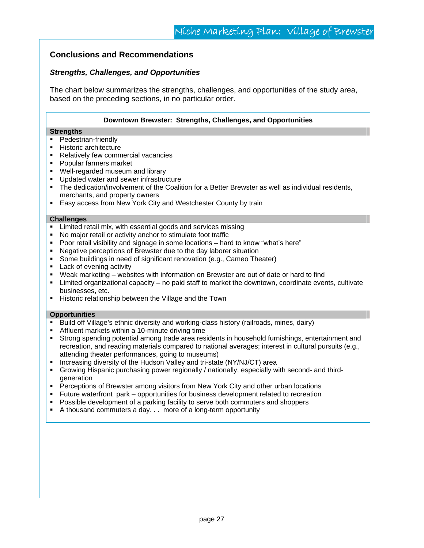#### **Conclusions and Recommendations**

#### *Strengths, Challenges, and Opportunities*

The chart below summarizes the strengths, challenges, and opportunities of the study area, based on the preceding sections, in no particular order.

| Downtown Brewster: Strengths, Challenges, and Opportunities |  |  |  |
|-------------------------------------------------------------|--|--|--|
|-------------------------------------------------------------|--|--|--|

#### **Strengths**

- **Pedestrian-friendly**
- **Historic architecture**
- Relatively few commercial vacancies
- **Popular farmers market**
- **Well-regarded museum and library**
- **Updated water and sewer infrastructure**
- The dedication/involvement of the Coalition for a Better Brewster as well as individual residents, merchants, and property owners
- **Easy access from New York City and Westchester County by train**

#### **Challenges**

- **EXECT** Limited retail mix, with essential goods and services missing
- No major retail or activity anchor to stimulate foot traffic
- Poor retail visibility and signage in some locations hard to know "what's here"
- Negative perceptions of Brewster due to the day laborer situation
- **Some buildings in need of significant renovation (e.g., Cameo Theater)**
- **Lack of evening activity**
- Weak marketing websites with information on Brewster are out of date or hard to find
- $\blacksquare$  Limited organizational capacity no paid staff to market the downtown, coordinate events, cultivate businesses, etc.
- **Historic relationship between the Village and the Town**

#### **Opportunities**

- Build off Village's ethnic diversity and working-class history (railroads, mines, dairy)
- Affluent markets within a 10-minute driving time
- Strong spending potential among trade area residents in household furnishings, entertainment and recreation, and reading materials compared to national averages; interest in cultural pursuits (e.g., attending theater performances, going to museums)
- Increasing diversity of the Hudson Valley and tri-state (NY/NJ/CT) area
- Growing Hispanic purchasing power regionally / nationally, especially with second- and thirdgeneration
- **•** Perceptions of Brewster among visitors from New York City and other urban locations
- Future waterfront park opportunities for business development related to recreation
- Possible development of a parking facility to serve both commuters and shoppers
- A thousand commuters a day. . . more of a long-term opportunity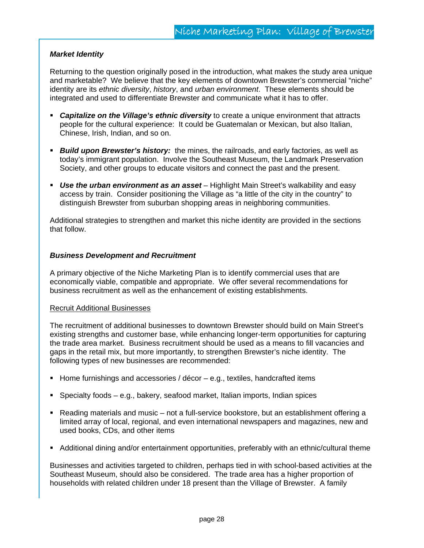#### *Market Identity*

Returning to the question originally posed in the introduction, what makes the study area unique and marketable? We believe that the key elements of downtown Brewster's commercial "niche" identity are its *ethnic diversity*, *history*, and *urban environment*. These elements should be integrated and used to differentiate Brewster and communicate what it has to offer.

- *Capitalize on the Village's ethnic diversity* to create a unique environment that attracts people for the cultural experience: It could be Guatemalan or Mexican, but also Italian, Chinese, Irish, Indian, and so on.
- *Build upon Brewster's history:* the mines, the railroads, and early factories, as well as today's immigrant population. Involve the Southeast Museum, the Landmark Preservation Society, and other groups to educate visitors and connect the past and the present.
- *Use the urban environment as an asset* Highlight Main Street's walkability and easy access by train. Consider positioning the Village as "a little of the city in the country" to distinguish Brewster from suburban shopping areas in neighboring communities.

Additional strategies to strengthen and market this niche identity are provided in the sections that follow.

#### *Business Development and Recruitment*

A primary objective of the Niche Marketing Plan is to identify commercial uses that are economically viable, compatible and appropriate. We offer several recommendations for business recruitment as well as the enhancement of existing establishments.

#### Recruit Additional Businesses

The recruitment of additional businesses to downtown Brewster should build on Main Street's existing strengths and customer base, while enhancing longer-term opportunities for capturing the trade area market. Business recruitment should be used as a means to fill vacancies and gaps in the retail mix, but more importantly, to strengthen Brewster's niche identity. The following types of new businesses are recommended:

- Home furnishings and accessories / décor  $-e.g.,$  textiles, handcrafted items
- Specialty foods e.g., bakery, seafood market, Italian imports, Indian spices
- Reading materials and music not a full-service bookstore, but an establishment offering a limited array of local, regional, and even international newspapers and magazines, new and used books, CDs, and other items
- Additional dining and/or entertainment opportunities, preferably with an ethnic/cultural theme

Businesses and activities targeted to children, perhaps tied in with school-based activities at the Southeast Museum, should also be considered. The trade area has a higher proportion of households with related children under 18 present than the Village of Brewster. A family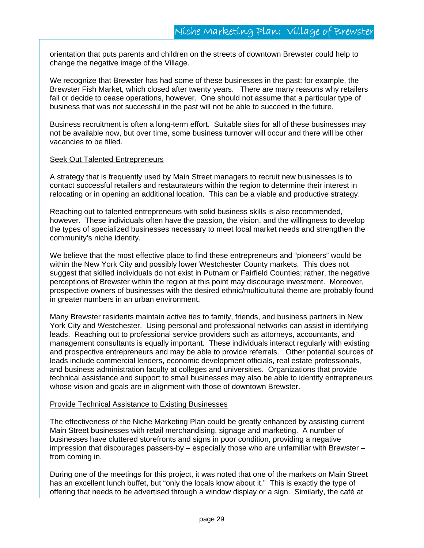orientation that puts parents and children on the streets of downtown Brewster could help to change the negative image of the Village.

We recognize that Brewster has had some of these businesses in the past: for example, the Brewster Fish Market, which closed after twenty years. There are many reasons why retailers fail or decide to cease operations, however. One should not assume that a particular type of business that was not successful in the past will not be able to succeed in the future.

Business recruitment is often a long-term effort. Suitable sites for all of these businesses may not be available now, but over time, some business turnover will occur and there will be other vacancies to be filled.

#### Seek Out Talented Entrepreneurs

A strategy that is frequently used by Main Street managers to recruit new businesses is to contact successful retailers and restaurateurs within the region to determine their interest in relocating or in opening an additional location. This can be a viable and productive strategy.

Reaching out to talented entrepreneurs with solid business skills is also recommended, however. These individuals often have the passion, the vision, and the willingness to develop the types of specialized businesses necessary to meet local market needs and strengthen the community's niche identity.

We believe that the most effective place to find these entrepreneurs and "pioneers" would be within the New York City and possibly lower Westchester County markets. This does not suggest that skilled individuals do not exist in Putnam or Fairfield Counties; rather, the negative perceptions of Brewster within the region at this point may discourage investment. Moreover, prospective owners of businesses with the desired ethnic/multicultural theme are probably found in greater numbers in an urban environment.

Many Brewster residents maintain active ties to family, friends, and business partners in New York City and Westchester. Using personal and professional networks can assist in identifying leads. Reaching out to professional service providers such as attorneys, accountants, and management consultants is equally important. These individuals interact regularly with existing and prospective entrepreneurs and may be able to provide referrals. Other potential sources of leads include commercial lenders, economic development officials, real estate professionals, and business administration faculty at colleges and universities. Organizations that provide technical assistance and support to small businesses may also be able to identify entrepreneurs whose vision and goals are in alignment with those of downtown Brewster.

#### Provide Technical Assistance to Existing Businesses

The effectiveness of the Niche Marketing Plan could be greatly enhanced by assisting current Main Street businesses with retail merchandising, signage and marketing. A number of businesses have cluttered storefronts and signs in poor condition, providing a negative impression that discourages passers-by – especially those who are unfamiliar with Brewster – from coming in.

During one of the meetings for this project, it was noted that one of the markets on Main Street has an excellent lunch buffet, but "only the locals know about it." This is exactly the type of offering that needs to be advertised through a window display or a sign. Similarly, the café at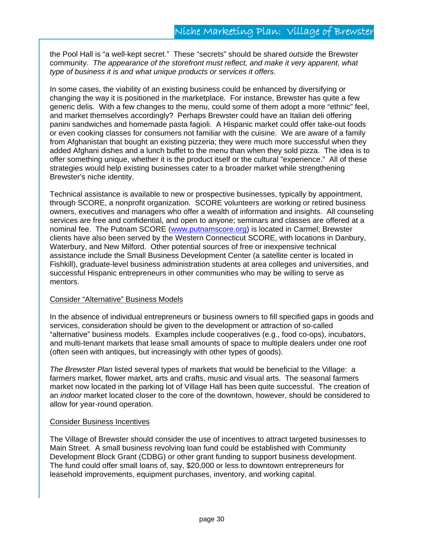the Pool Hall is "a well-kept secret." These "secrets" should be shared *outside* the Brewster community. *The appearance of the storefront must reflect, and make it very apparent, what type of business it is and what unique products or services it offers.* 

In some cases, the viability of an existing business could be enhanced by diversifying or changing the way it is positioned in the marketplace. For instance, Brewster has quite a few generic delis. With a few changes to the menu, could some of them adopt a more "ethnic" feel, and market themselves accordingly? Perhaps Brewster could have an Italian deli offering panini sandwiches and homemade pasta fagioli. A Hispanic market could offer take-out foods or even cooking classes for consumers not familiar with the cuisine. We are aware of a family from Afghanistan that bought an existing pizzeria; they were much more successful when they added Afghani dishes and a lunch buffet to the menu than when they sold pizza. The idea is to offer something unique, whether it is the product itself or the cultural "experience." All of these strategies would help existing businesses cater to a broader market while strengthening Brewster's niche identity.

Technical assistance is available to new or prospective businesses, typically by appointment, through SCORE, a nonprofit organization. SCORE volunteers are working or retired business owners, executives and managers who offer a wealth of information and insights. All counseling services are free and confidential, and open to anyone; seminars and classes are offered at a nominal fee. The Putnam SCORE (www.putnamscore.org) is located in Carmel; Brewster clients have also been served by the Western Connecticut SCORE, with locations in Danbury, Waterbury, and New Milford. Other potential sources of free or inexpensive technical assistance include the Small Business Development Center (a satellite center is located in Fishkill), graduate-level business administration students at area colleges and universities, and successful Hispanic entrepreneurs in other communities who may be willing to serve as mentors.

#### Consider "Alternative" Business Models

In the absence of individual entrepreneurs or business owners to fill specified gaps in goods and services, consideration should be given to the development or attraction of so-called "alternative" business models. Examples include cooperatives (e.g., food co-ops), incubators, and multi-tenant markets that lease small amounts of space to multiple dealers under one roof (often seen with antiques, but increasingly with other types of goods).

*The Brewster Plan* listed several types of markets that would be beneficial to the Village: a farmers market, flower market, arts and crafts, music and visual arts. The seasonal farmers market now located in the parking lot of Village Hall has been quite successful. The creation of an *indoor* market located closer to the core of the downtown, however, should be considered to allow for year-round operation.

#### Consider Business Incentives

The Village of Brewster should consider the use of incentives to attract targeted businesses to Main Street. A small business revolving loan fund could be established with Community Development Block Grant (CDBG) or other grant funding to support business development. The fund could offer small loans of, say, \$20,000 or less to downtown entrepreneurs for leasehold improvements, equipment purchases, inventory, and working capital.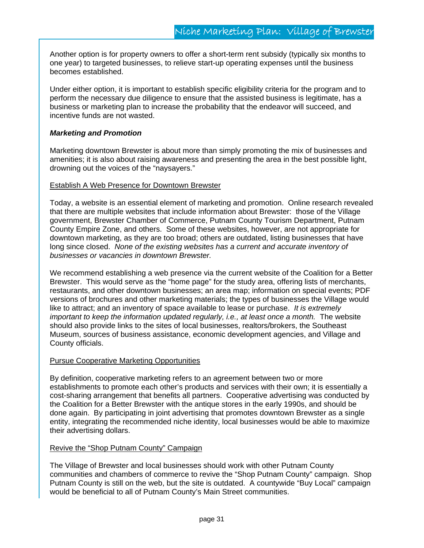Another option is for property owners to offer a short-term rent subsidy (typically six months to one year) to targeted businesses, to relieve start-up operating expenses until the business becomes established.

Under either option, it is important to establish specific eligibility criteria for the program and to perform the necessary due diligence to ensure that the assisted business is legitimate, has a business or marketing plan to increase the probability that the endeavor will succeed, and incentive funds are not wasted.

#### *Marketing and Promotion*

Marketing downtown Brewster is about more than simply promoting the mix of businesses and amenities; it is also about raising awareness and presenting the area in the best possible light, drowning out the voices of the "naysayers."

#### Establish A Web Presence for Downtown Brewster

Today, a website is an essential element of marketing and promotion. Online research revealed that there are multiple websites that include information about Brewster: those of the Village government, Brewster Chamber of Commerce, Putnam County Tourism Department, Putnam County Empire Zone, and others. Some of these websites, however, are not appropriate for downtown marketing, as they are too broad; others are outdated, listing businesses that have long since closed. *None of the existing websites has a current and accurate inventory of businesses or vacancies in downtown Brewster.*

We recommend establishing a web presence via the current website of the Coalition for a Better Brewster. This would serve as the "home page" for the study area, offering lists of merchants, restaurants, and other downtown businesses; an area map; information on special events; PDF versions of brochures and other marketing materials; the types of businesses the Village would like to attract; and an inventory of space available to lease or purchase. *It is extremely important to keep the information updated regularly, i.e., at least once a month.* The website should also provide links to the sites of local businesses, realtors/brokers, the Southeast Museum, sources of business assistance, economic development agencies, and Village and County officials.

#### Pursue Cooperative Marketing Opportunities

By definition, cooperative marketing refers to an agreement between two or more establishments to promote each other's products and services with their own; it is essentially a cost-sharing arrangement that benefits all partners. Cooperative advertising was conducted by the Coalition for a Better Brewster with the antique stores in the early 1990s, and should be done again. By participating in joint advertising that promotes downtown Brewster as a single entity, integrating the recommended niche identity, local businesses would be able to maximize their advertising dollars.

#### Revive the "Shop Putnam County" Campaign

The Village of Brewster and local businesses should work with other Putnam County communities and chambers of commerce to revive the "Shop Putnam County" campaign. Shop Putnam County is still on the web, but the site is outdated. A countywide "Buy Local" campaign would be beneficial to all of Putnam County's Main Street communities.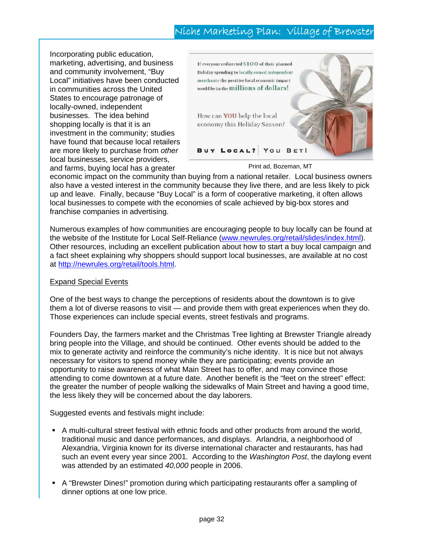# Niche Marketing Plan: Village of Brewster

Incorporating public education, marketing, advertising, and business and community involvement, "Buy Local" initiatives have been conducted in communities across the United States to encourage patronage of locally-owned, independent businesses. The idea behind shopping locally is that it is an investment in the community; studies have found that because local retailers are more likely to purchase from *other* local businesses, service providers, and farms, buying local has a greater



Print ad, Bozeman, MT

economic impact on the community than buying from a national retailer. Local business owners also have a vested interest in the community because they live there, and are less likely to pick up and leave. Finally, because "Buy Local" is a form of cooperative marketing, it often allows local businesses to compete with the economies of scale achieved by big-box stores and franchise companies in advertising.

Numerous examples of how communities are encouraging people to buy locally can be found at the website of the Institute for Local Self-Reliance (www.newrules.org/retail/slides/index.html). Other resources, including an excellent publication about how to start a buy local campaign and a fact sheet explaining why shoppers should support local businesses, are available at no cost at http://newrules.org/retail/tools.html.

#### Expand Special Events

One of the best ways to change the perceptions of residents about the downtown is to give them a lot of diverse reasons to visit — and provide them with great experiences when they do. Those experiences can include special events, street festivals and programs.

Founders Day, the farmers market and the Christmas Tree lighting at Brewster Triangle already bring people into the Village, and should be continued. Other events should be added to the mix to generate activity and reinforce the community's niche identity. It is nice but not always necessary for visitors to spend money while they are participating; events provide an opportunity to raise awareness of what Main Street has to offer, and may convince those attending to come downtown at a future date. Another benefit is the "feet on the street" effect: the greater the number of people walking the sidewalks of Main Street and having a good time, the less likely they will be concerned about the day laborers.

Suggested events and festivals might include:

- A multi-cultural street festival with ethnic foods and other products from around the world, traditional music and dance performances, and displays. Arlandria, a neighborhood of Alexandria, Virginia known for its diverse international character and restaurants, has had such an event every year since 2001. According to the *Washington Post*, the daylong event was attended by an estimated *40,000* people in 2006.
- A "Brewster Dines!" promotion during which participating restaurants offer a sampling of dinner options at one low price.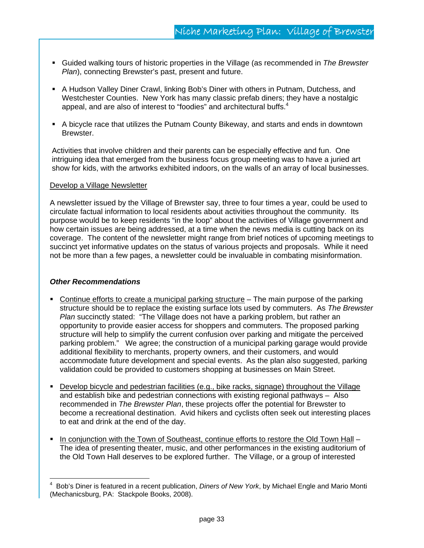- Guided walking tours of historic properties in the Village (as recommended in *The Brewster Plan*), connecting Brewster's past, present and future.
- A Hudson Valley Diner Crawl, linking Bob's Diner with others in Putnam, Dutchess, and Westchester Counties. New York has many classic prefab diners; they have a nostalgic appeal, and are also of interest to "foodies" and architectural buffs.<sup>4</sup>
- A bicycle race that utilizes the Putnam County Bikeway, and starts and ends in downtown Brewster.

Activities that involve children and their parents can be especially effective and fun. One intriguing idea that emerged from the business focus group meeting was to have a juried art show for kids, with the artworks exhibited indoors, on the walls of an array of local businesses.

#### Develop a Village Newsletter

A newsletter issued by the Village of Brewster say, three to four times a year, could be used to circulate factual information to local residents about activities throughout the community. Its purpose would be to keep residents "in the loop" about the activities of Village government and how certain issues are being addressed, at a time when the news media is cutting back on its coverage. The content of the newsletter might range from brief notices of upcoming meetings to succinct yet informative updates on the status of various projects and proposals. While it need not be more than a few pages, a newsletter could be invaluable in combating misinformation.

#### *Other Recommendations*

 $\overline{a}$ 

- Continue efforts to create a municipal parking structure The main purpose of the parking structure should be to replace the existing surface lots used by commuters. As *The Brewster Plan* succinctly stated: "The Village does not have a parking problem, but rather an opportunity to provide easier access for shoppers and commuters. The proposed parking structure will help to simplify the current confusion over parking and mitigate the perceived parking problem." We agree; the construction of a municipal parking garage would provide additional flexibility to merchants, property owners, and their customers, and would accommodate future development and special events. As the plan also suggested, parking validation could be provided to customers shopping at businesses on Main Street.
- Develop bicycle and pedestrian facilities (e.g., bike racks, signage) throughout the Village and establish bike and pedestrian connections with existing regional pathways – Also recommended in *The Brewster Plan*, these projects offer the potential for Brewster to become a recreational destination. Avid hikers and cyclists often seek out interesting places to eat and drink at the end of the day.
- In conjunction with the Town of Southeast, continue efforts to restore the Old Town Hall The idea of presenting theater, music, and other performances in the existing auditorium of the Old Town Hall deserves to be explored further. The Village, or a group of interested

<sup>4</sup> Bob's Diner is featured in a recent publication, *Diners of New York*, by Michael Engle and Mario Monti (Mechanicsburg, PA: Stackpole Books, 2008).